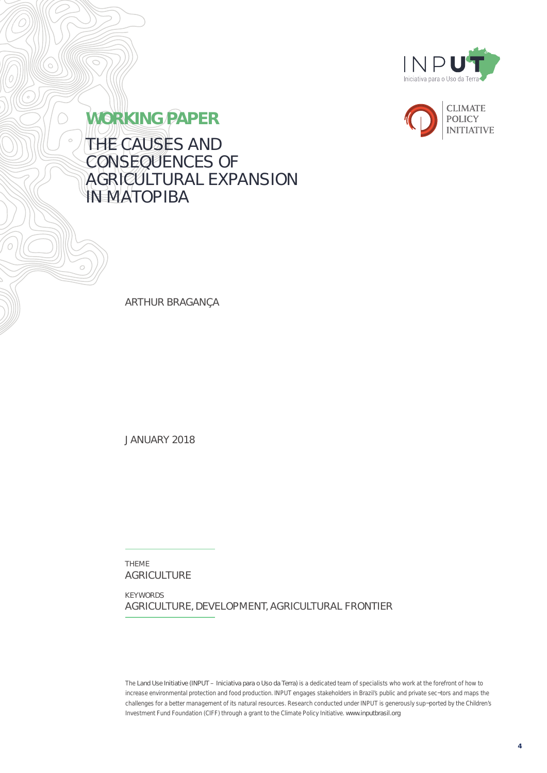



**WORKING PAPER** THE CAUSES AND CONSEQUENCES OF AGRICULTURAL EXPANSION **IN MATOPIBA** 

ARTHUR BRAGANÇA

JANUARY 2018

THEME AGRICULTURE

KEYWORDS AGRICULTURE, DEVELOPMENT, AGRICULTURAL FRONTIER

*The Land Use Initiative (INPUT – Iniciativa para o Uso da Terra) is a dedicated team of specialists who work at the forefront of how to increase environmental protection and food production. INPUT engages stakeholders in Brazil's public and private sec¬tors and maps the challenges for a better management of its natural resources. Research conducted under INPUT is generously sup¬ported by the Children's*  Investment Fund Foundation (CIFF) through a grant to the Climate Policy Initiative. www.inputbrasil.org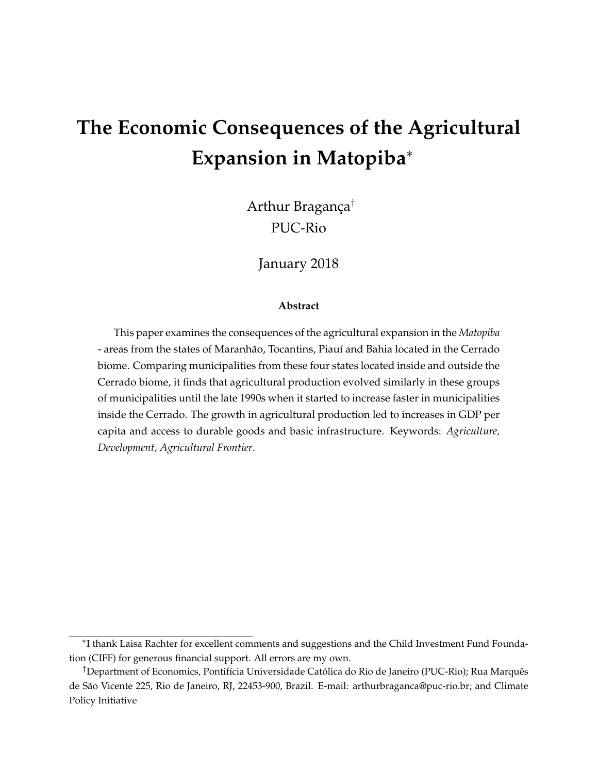# **The Economic Consequences of the Agricultural Expansion in Matopiba**<sup>∗</sup>

Arthur Bragança† PUC-Rio

January 2018

#### **Abstract**

This paper examines the consequences of the agricultural expansion in the *Matopiba* - areas from the states of Maranhão, Tocantins, Piauí and Bahia located in the Cerrado biome. Comparing municipalities from these four states located inside and outside the Cerrado biome, it finds that agricultural production evolved similarly in these groups of municipalities until the late 1990s when it started to increase faster in municipalities inside the Cerrado. The growth in agricultural production led to increases in GDP per capita and access to durable goods and basic infrastructure. Keywords: *Agriculture, Development, Agricultural Frontier*.

<sup>∗</sup> I thank Laisa Rachter for excellent comments and suggestions and the Child Investment Fund Foundation (CIFF) for generous financial support. All errors are my own.

<sup>†</sup>Department of Economics, Pontifícia Universidade Católica do Rio de Janeiro (PUC-Rio); Rua Marquês de São Vicente 225, Rio de Janeiro, RJ, 22453-900, Brazil. E-mail: arthurbraganca@puc-rio.br; and Climate Policy Initiative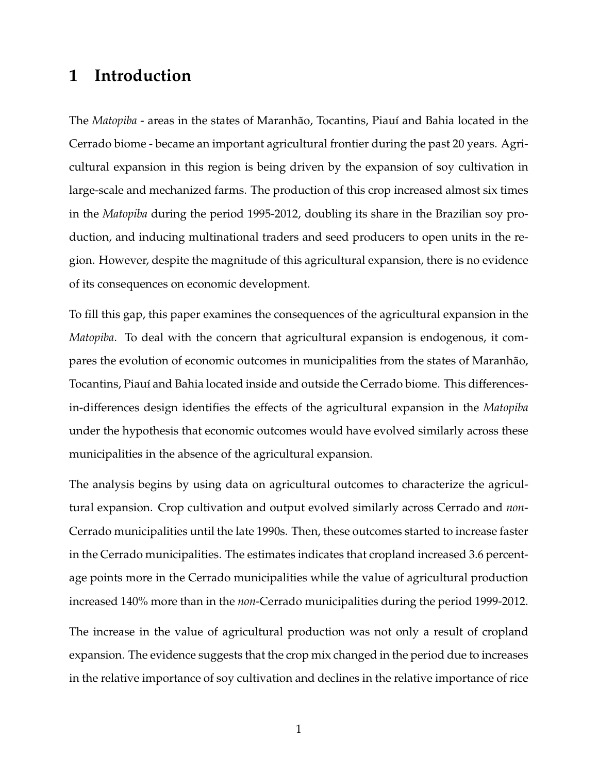# **1 Introduction**

The *Matopiba* - areas in the states of Maranhão, Tocantins, Piauí and Bahia located in the Cerrado biome - became an important agricultural frontier during the past 20 years. Agricultural expansion in this region is being driven by the expansion of soy cultivation in large-scale and mechanized farms. The production of this crop increased almost six times in the *Matopiba* during the period 1995-2012, doubling its share in the Brazilian soy production, and inducing multinational traders and seed producers to open units in the region. However, despite the magnitude of this agricultural expansion, there is no evidence of its consequences on economic development.

To fill this gap, this paper examines the consequences of the agricultural expansion in the *Matopiba*. To deal with the concern that agricultural expansion is endogenous, it compares the evolution of economic outcomes in municipalities from the states of Maranhão, Tocantins, Piauí and Bahia located inside and outside the Cerrado biome. This differencesin-differences design identifies the effects of the agricultural expansion in the *Matopiba* under the hypothesis that economic outcomes would have evolved similarly across these municipalities in the absence of the agricultural expansion.

The analysis begins by using data on agricultural outcomes to characterize the agricultural expansion. Crop cultivation and output evolved similarly across Cerrado and *non*-Cerrado municipalities until the late 1990s. Then, these outcomes started to increase faster in the Cerrado municipalities. The estimates indicates that cropland increased 3.6 percentage points more in the Cerrado municipalities while the value of agricultural production increased 140% more than in the *non*-Cerrado municipalities during the period 1999-2012.

The increase in the value of agricultural production was not only a result of cropland expansion. The evidence suggests that the crop mix changed in the period due to increases in the relative importance of soy cultivation and declines in the relative importance of rice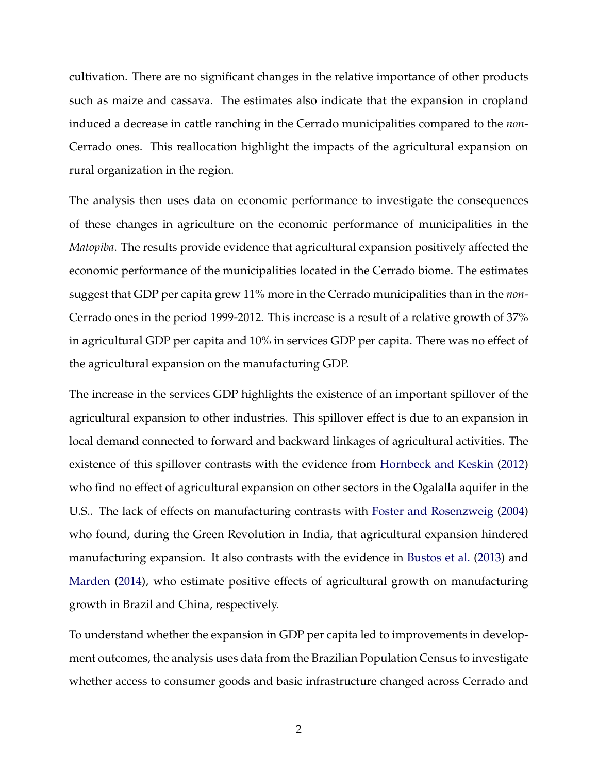cultivation. There are no significant changes in the relative importance of other products such as maize and cassava. The estimates also indicate that the expansion in cropland induced a decrease in cattle ranching in the Cerrado municipalities compared to the *non*-Cerrado ones. This reallocation highlight the impacts of the agricultural expansion on rural organization in the region.

The analysis then uses data on economic performance to investigate the consequences of these changes in agriculture on the economic performance of municipalities in the *Matopiba*. The results provide evidence that agricultural expansion positively affected the economic performance of the municipalities located in the Cerrado biome. The estimates suggest that GDP per capita grew 11% more in the Cerrado municipalities than in the *non*-Cerrado ones in the period 1999-2012. This increase is a result of a relative growth of 37% in agricultural GDP per capita and 10% in services GDP per capita. There was no effect of the agricultural expansion on the manufacturing GDP.

The increase in the services GDP highlights the existence of an important spillover of the agricultural expansion to other industries. This spillover effect is due to an expansion in local demand connected to forward and backward linkages of agricultural activities. The existence of this spillover contrasts with the evidence from Hornbeck and Keskin (2012) who find no effect of agricultural expansion on other sectors in the Ogalalla aquifer in the U.S.. The lack of effects on manufacturing contrasts with Foster and Rosenzweig (2004) who found, during the Green Revolution in India, that agricultural expansion hindered manufacturing expansion. It also contrasts with the evidence in Bustos et al. (2013) and Marden (2014), who estimate positive effects of agricultural growth on manufacturing growth in Brazil and China, respectively.

To understand whether the expansion in GDP per capita led to improvements in development outcomes, the analysis uses data from the Brazilian Population Census to investigate whether access to consumer goods and basic infrastructure changed across Cerrado and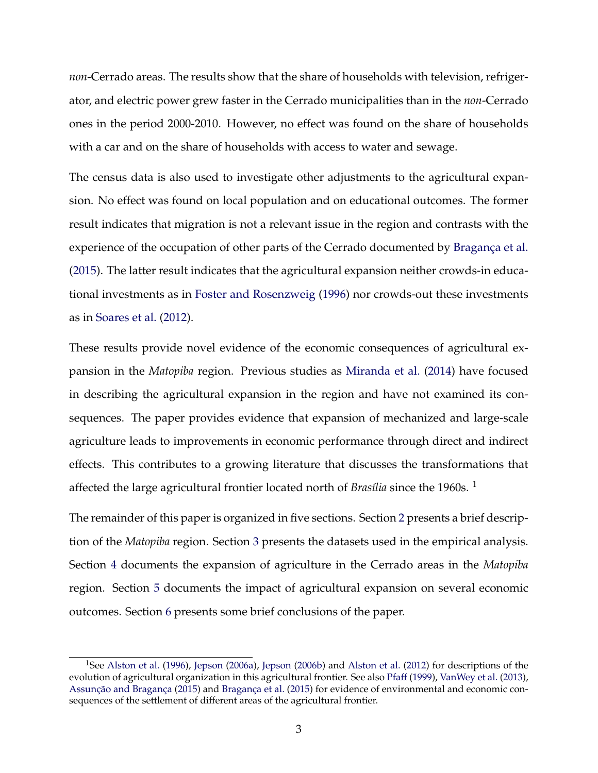*non*-Cerrado areas. The results show that the share of households with television, refrigerator, and electric power grew faster in the Cerrado municipalities than in the *non*-Cerrado ones in the period 2000-2010. However, no effect was found on the share of households with a car and on the share of households with access to water and sewage.

The census data is also used to investigate other adjustments to the agricultural expansion. No effect was found on local population and on educational outcomes. The former result indicates that migration is not a relevant issue in the region and contrasts with the experience of the occupation of other parts of the Cerrado documented by Bragança et al. (2015). The latter result indicates that the agricultural expansion neither crowds-in educational investments as in Foster and Rosenzweig (1996) nor crowds-out these investments as in Soares et al. (2012).

These results provide novel evidence of the economic consequences of agricultural expansion in the *Matopiba* region. Previous studies as Miranda et al. (2014) have focused in describing the agricultural expansion in the region and have not examined its consequences. The paper provides evidence that expansion of mechanized and large-scale agriculture leads to improvements in economic performance through direct and indirect effects. This contributes to a growing literature that discusses the transformations that affected the large agricultural frontier located north of *Brasília* since the 1960s. <sup>1</sup>

The remainder of this paper is organized in five sections. Section 2 presents a brief description of the *Matopiba* region. Section 3 presents the datasets used in the empirical analysis. Section 4 documents the expansion of agriculture in the Cerrado areas in the *Matopiba* region. Section 5 documents the impact of agricultural expansion on several economic outcomes. Section 6 presents some brief conclusions of the paper.

<sup>&</sup>lt;sup>1</sup>See Alston et al. (1996), Jepson (2006a), Jepson (2006b) and Alston et al. (2012) for descriptions of the evolution of agricultural organization in this agricultural frontier. See also Pfaff (1999), VanWey et al. (2013), Assunção and Bragança (2015) and Bragança et al. (2015) for evidence of environmental and economic consequences of the settlement of different areas of the agricultural frontier.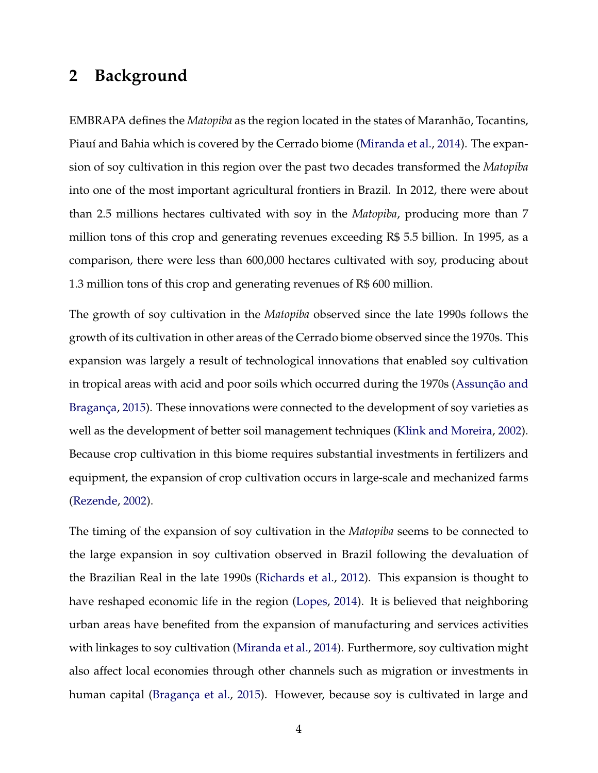## **2 Background**

EMBRAPA defines the *Matopiba* as the region located in the states of Maranhão, Tocantins, Piauí and Bahia which is covered by the Cerrado biome (Miranda et al., 2014). The expansion of soy cultivation in this region over the past two decades transformed the *Matopiba* into one of the most important agricultural frontiers in Brazil. In 2012, there were about than 2.5 millions hectares cultivated with soy in the *Matopiba*, producing more than 7 million tons of this crop and generating revenues exceeding R\$ 5.5 billion. In 1995, as a comparison, there were less than 600,000 hectares cultivated with soy, producing about 1.3 million tons of this crop and generating revenues of R\$ 600 million.

The growth of soy cultivation in the *Matopiba* observed since the late 1990s follows the growth of its cultivation in other areas of the Cerrado biome observed since the 1970s. This expansion was largely a result of technological innovations that enabled soy cultivation in tropical areas with acid and poor soils which occurred during the 1970s (Assunção and Bragança, 2015). These innovations were connected to the development of soy varieties as well as the development of better soil management techniques (Klink and Moreira, 2002). Because crop cultivation in this biome requires substantial investments in fertilizers and equipment, the expansion of crop cultivation occurs in large-scale and mechanized farms (Rezende, 2002).

The timing of the expansion of soy cultivation in the *Matopiba* seems to be connected to the large expansion in soy cultivation observed in Brazil following the devaluation of the Brazilian Real in the late 1990s (Richards et al., 2012). This expansion is thought to have reshaped economic life in the region (Lopes, 2014). It is believed that neighboring urban areas have benefited from the expansion of manufacturing and services activities with linkages to soy cultivation (Miranda et al., 2014). Furthermore, soy cultivation might also affect local economies through other channels such as migration or investments in human capital (Bragança et al., 2015). However, because soy is cultivated in large and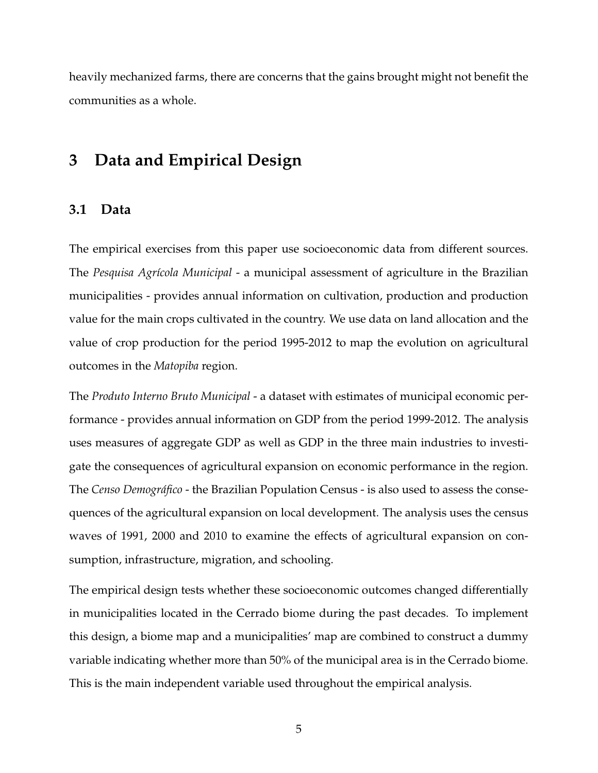heavily mechanized farms, there are concerns that the gains brought might not benefit the communities as a whole.

# **3 Data and Empirical Design**

#### **3.1 Data**

The empirical exercises from this paper use socioeconomic data from different sources. The *Pesquisa Agrícola Municipal* - a municipal assessment of agriculture in the Brazilian municipalities - provides annual information on cultivation, production and production value for the main crops cultivated in the country. We use data on land allocation and the value of crop production for the period 1995-2012 to map the evolution on agricultural outcomes in the *Matopiba* region.

The *Produto Interno Bruto Municipal* - a dataset with estimates of municipal economic performance - provides annual information on GDP from the period 1999-2012. The analysis uses measures of aggregate GDP as well as GDP in the three main industries to investigate the consequences of agricultural expansion on economic performance in the region. The *Censo Demográfico* - the Brazilian Population Census - is also used to assess the consequences of the agricultural expansion on local development. The analysis uses the census waves of 1991, 2000 and 2010 to examine the effects of agricultural expansion on consumption, infrastructure, migration, and schooling.

The empirical design tests whether these socioeconomic outcomes changed differentially in municipalities located in the Cerrado biome during the past decades. To implement this design, a biome map and a municipalities' map are combined to construct a dummy variable indicating whether more than 50% of the municipal area is in the Cerrado biome. This is the main independent variable used throughout the empirical analysis.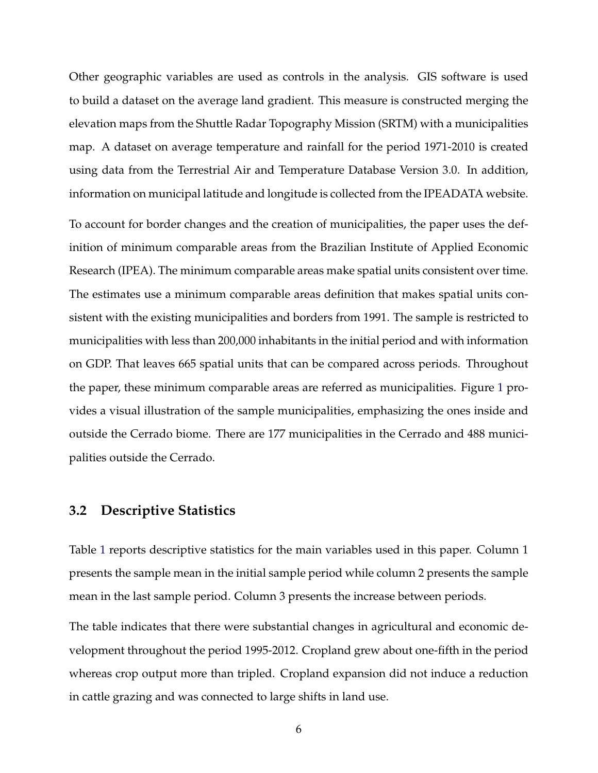Other geographic variables are used as controls in the analysis. GIS software is used to build a dataset on the average land gradient. This measure is constructed merging the elevation maps from the Shuttle Radar Topography Mission (SRTM) with a municipalities map. A dataset on average temperature and rainfall for the period 1971-2010 is created using data from the Terrestrial Air and Temperature Database Version 3.0. In addition, information on municipal latitude and longitude is collected from the IPEADATA website.

To account for border changes and the creation of municipalities, the paper uses the definition of minimum comparable areas from the Brazilian Institute of Applied Economic Research (IPEA). The minimum comparable areas make spatial units consistent over time. The estimates use a minimum comparable areas definition that makes spatial units consistent with the existing municipalities and borders from 1991. The sample is restricted to municipalities with less than 200,000 inhabitants in the initial period and with information on GDP. That leaves 665 spatial units that can be compared across periods. Throughout the paper, these minimum comparable areas are referred as municipalities. Figure 1 provides a visual illustration of the sample municipalities, emphasizing the ones inside and outside the Cerrado biome. There are 177 municipalities in the Cerrado and 488 municipalities outside the Cerrado.

## **3.2 Descriptive Statistics**

Table 1 reports descriptive statistics for the main variables used in this paper. Column 1 presents the sample mean in the initial sample period while column 2 presents the sample mean in the last sample period. Column 3 presents the increase between periods.

The table indicates that there were substantial changes in agricultural and economic development throughout the period 1995-2012. Cropland grew about one-fifth in the period whereas crop output more than tripled. Cropland expansion did not induce a reduction in cattle grazing and was connected to large shifts in land use.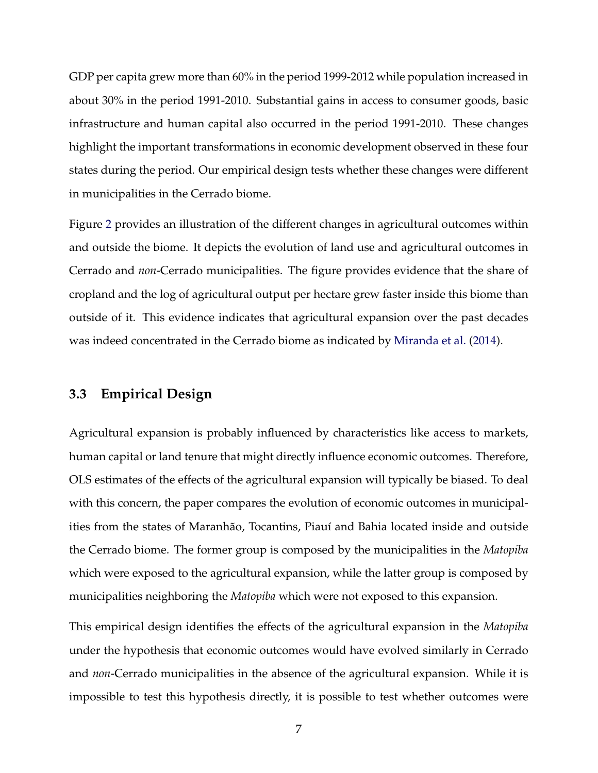GDP per capita grew more than 60% in the period 1999-2012 while population increased in about 30% in the period 1991-2010. Substantial gains in access to consumer goods, basic infrastructure and human capital also occurred in the period 1991-2010. These changes highlight the important transformations in economic development observed in these four states during the period. Our empirical design tests whether these changes were different in municipalities in the Cerrado biome.

Figure 2 provides an illustration of the different changes in agricultural outcomes within and outside the biome. It depicts the evolution of land use and agricultural outcomes in Cerrado and *non*-Cerrado municipalities. The figure provides evidence that the share of cropland and the log of agricultural output per hectare grew faster inside this biome than outside of it. This evidence indicates that agricultural expansion over the past decades was indeed concentrated in the Cerrado biome as indicated by Miranda et al. (2014).

## **3.3 Empirical Design**

Agricultural expansion is probably influenced by characteristics like access to markets, human capital or land tenure that might directly influence economic outcomes. Therefore, OLS estimates of the effects of the agricultural expansion will typically be biased. To deal with this concern, the paper compares the evolution of economic outcomes in municipalities from the states of Maranhão, Tocantins, Piauí and Bahia located inside and outside the Cerrado biome. The former group is composed by the municipalities in the *Matopiba* which were exposed to the agricultural expansion, while the latter group is composed by municipalities neighboring the *Matopiba* which were not exposed to this expansion.

This empirical design identifies the effects of the agricultural expansion in the *Matopiba* under the hypothesis that economic outcomes would have evolved similarly in Cerrado and *non*-Cerrado municipalities in the absence of the agricultural expansion. While it is impossible to test this hypothesis directly, it is possible to test whether outcomes were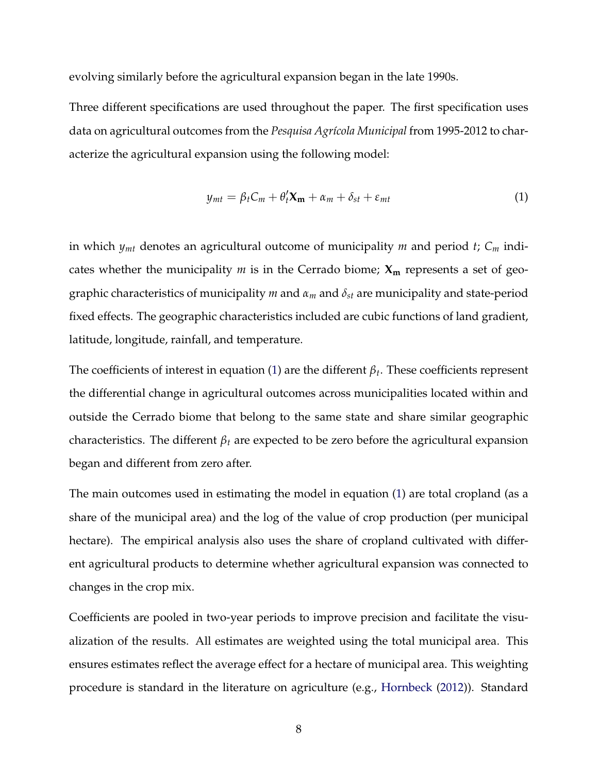evolving similarly before the agricultural expansion began in the late 1990s.

Three different specifications are used throughout the paper. The first specification uses data on agricultural outcomes from the *Pesquisa Agrícola Municipal* from 1995-2012 to characterize the agricultural expansion using the following model:

$$
y_{mt} = \beta_t C_m + \theta'_t \mathbf{X_m} + \alpha_m + \delta_{st} + \varepsilon_{mt}
$$
 (1)

in which *ymt* denotes an agricultural outcome of municipality *m* and period *t*; *C<sup>m</sup>* indicates whether the municipality *m* is in the Cerrado biome; **X<sup>m</sup>** represents a set of geographic characteristics of municipality *m* and *α<sup>m</sup>* and *δst* are municipality and state-period fixed effects. The geographic characteristics included are cubic functions of land gradient, latitude, longitude, rainfall, and temperature.

The coefficients of interest in equation (1) are the different *β<sup>t</sup>* . These coefficients represent the differential change in agricultural outcomes across municipalities located within and outside the Cerrado biome that belong to the same state and share similar geographic characteristics. The different  $\beta_t$  are expected to be zero before the agricultural expansion began and different from zero after.

The main outcomes used in estimating the model in equation (1) are total cropland (as a share of the municipal area) and the log of the value of crop production (per municipal hectare). The empirical analysis also uses the share of cropland cultivated with different agricultural products to determine whether agricultural expansion was connected to changes in the crop mix.

Coefficients are pooled in two-year periods to improve precision and facilitate the visualization of the results. All estimates are weighted using the total municipal area. This ensures estimates reflect the average effect for a hectare of municipal area. This weighting procedure is standard in the literature on agriculture (e.g., Hornbeck (2012)). Standard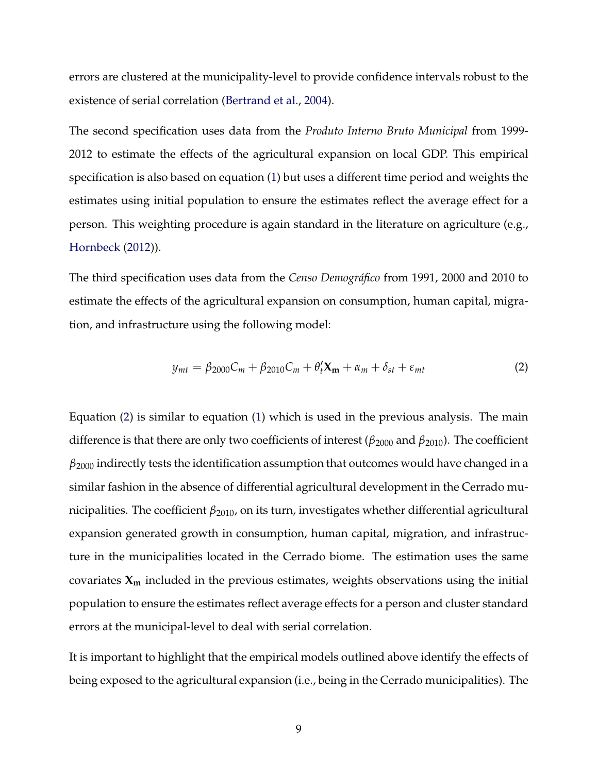errors are clustered at the municipality-level to provide confidence intervals robust to the existence of serial correlation (Bertrand et al., 2004).

The second specification uses data from the *Produto Interno Bruto Municipal* from 1999- 2012 to estimate the effects of the agricultural expansion on local GDP. This empirical specification is also based on equation (1) but uses a different time period and weights the estimates using initial population to ensure the estimates reflect the average effect for a person. This weighting procedure is again standard in the literature on agriculture (e.g., Hornbeck (2012)).

The third specification uses data from the *Censo Demográfico* from 1991, 2000 and 2010 to estimate the effects of the agricultural expansion on consumption, human capital, migration, and infrastructure using the following model:

$$
y_{mt} = \beta_{2000} C_m + \beta_{2010} C_m + \theta'_t \mathbf{X_m} + \alpha_m + \delta_{st} + \varepsilon_{mt}
$$
 (2)

Equation (2) is similar to equation (1) which is used in the previous analysis. The main difference is that there are only two coefficients of interest (*β*<sup>2000</sup> and *β*2010). The coefficient *β*<sup>2000</sup> indirectly tests the identification assumption that outcomes would have changed in a similar fashion in the absence of differential agricultural development in the Cerrado municipalities. The coefficient *β*<sub>2010</sub>, on its turn, investigates whether differential agricultural expansion generated growth in consumption, human capital, migration, and infrastructure in the municipalities located in the Cerrado biome. The estimation uses the same covariates **X<sup>m</sup>** included in the previous estimates, weights observations using the initial population to ensure the estimates reflect average effects for a person and cluster standard errors at the municipal-level to deal with serial correlation.

It is important to highlight that the empirical models outlined above identify the effects of being exposed to the agricultural expansion (i.e., being in the Cerrado municipalities). The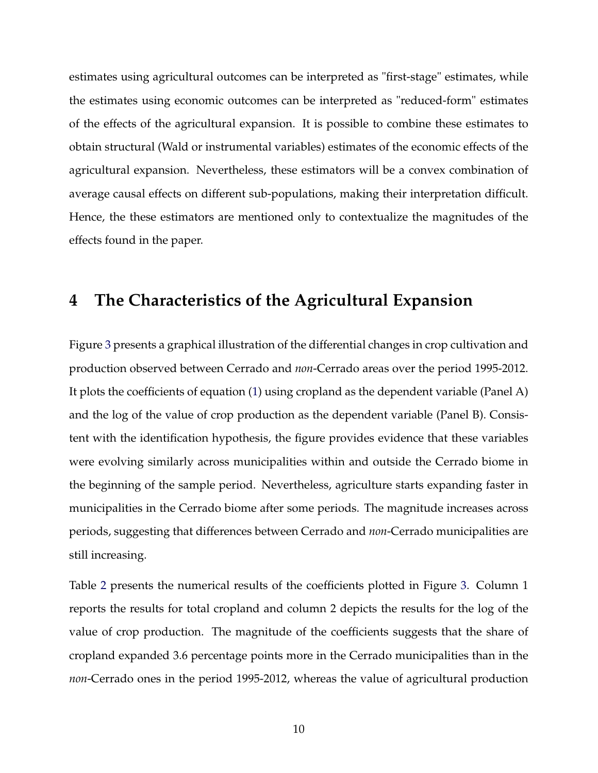estimates using agricultural outcomes can be interpreted as "first-stage" estimates, while the estimates using economic outcomes can be interpreted as "reduced-form" estimates of the effects of the agricultural expansion. It is possible to combine these estimates to obtain structural (Wald or instrumental variables) estimates of the economic effects of the agricultural expansion. Nevertheless, these estimators will be a convex combination of average causal effects on different sub-populations, making their interpretation difficult. Hence, the these estimators are mentioned only to contextualize the magnitudes of the effects found in the paper.

## **4 The Characteristics of the Agricultural Expansion**

Figure 3 presents a graphical illustration of the differential changes in crop cultivation and production observed between Cerrado and *non*-Cerrado areas over the period 1995-2012. It plots the coefficients of equation (1) using cropland as the dependent variable (Panel A) and the log of the value of crop production as the dependent variable (Panel B). Consistent with the identification hypothesis, the figure provides evidence that these variables were evolving similarly across municipalities within and outside the Cerrado biome in the beginning of the sample period. Nevertheless, agriculture starts expanding faster in municipalities in the Cerrado biome after some periods. The magnitude increases across periods, suggesting that differences between Cerrado and *non*-Cerrado municipalities are still increasing.

Table 2 presents the numerical results of the coefficients plotted in Figure 3. Column 1 reports the results for total cropland and column 2 depicts the results for the log of the value of crop production. The magnitude of the coefficients suggests that the share of cropland expanded 3.6 percentage points more in the Cerrado municipalities than in the *non*-Cerrado ones in the period 1995-2012, whereas the value of agricultural production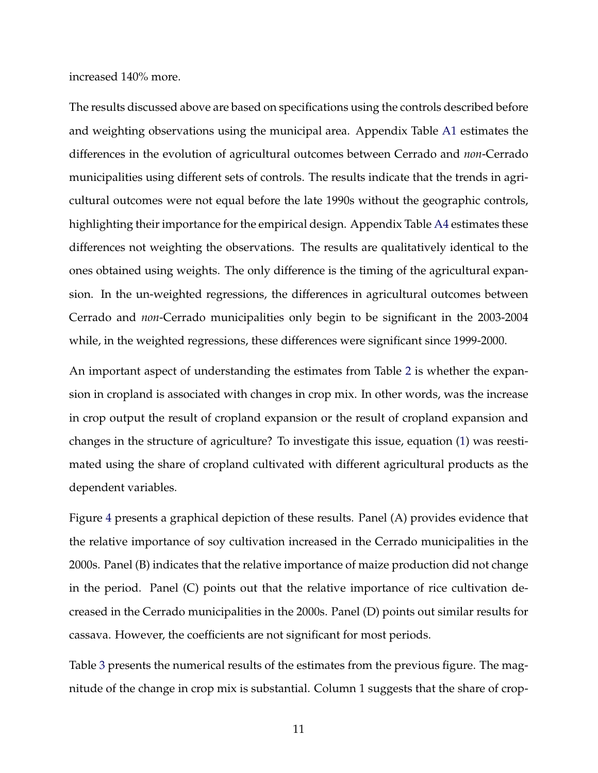increased 140% more.

The results discussed above are based on specifications using the controls described before and weighting observations using the municipal area. Appendix Table A1 estimates the differences in the evolution of agricultural outcomes between Cerrado and *non*-Cerrado municipalities using different sets of controls. The results indicate that the trends in agricultural outcomes were not equal before the late 1990s without the geographic controls, highlighting their importance for the empirical design. Appendix Table A4 estimates these differences not weighting the observations. The results are qualitatively identical to the ones obtained using weights. The only difference is the timing of the agricultural expansion. In the un-weighted regressions, the differences in agricultural outcomes between Cerrado and *non*-Cerrado municipalities only begin to be significant in the 2003-2004 while, in the weighted regressions, these differences were significant since 1999-2000.

An important aspect of understanding the estimates from Table 2 is whether the expansion in cropland is associated with changes in crop mix. In other words, was the increase in crop output the result of cropland expansion or the result of cropland expansion and changes in the structure of agriculture? To investigate this issue, equation (1) was reestimated using the share of cropland cultivated with different agricultural products as the dependent variables.

Figure 4 presents a graphical depiction of these results. Panel (A) provides evidence that the relative importance of soy cultivation increased in the Cerrado municipalities in the 2000s. Panel (B) indicates that the relative importance of maize production did not change in the period. Panel (C) points out that the relative importance of rice cultivation decreased in the Cerrado municipalities in the 2000s. Panel (D) points out similar results for cassava. However, the coefficients are not significant for most periods.

Table 3 presents the numerical results of the estimates from the previous figure. The magnitude of the change in crop mix is substantial. Column 1 suggests that the share of crop-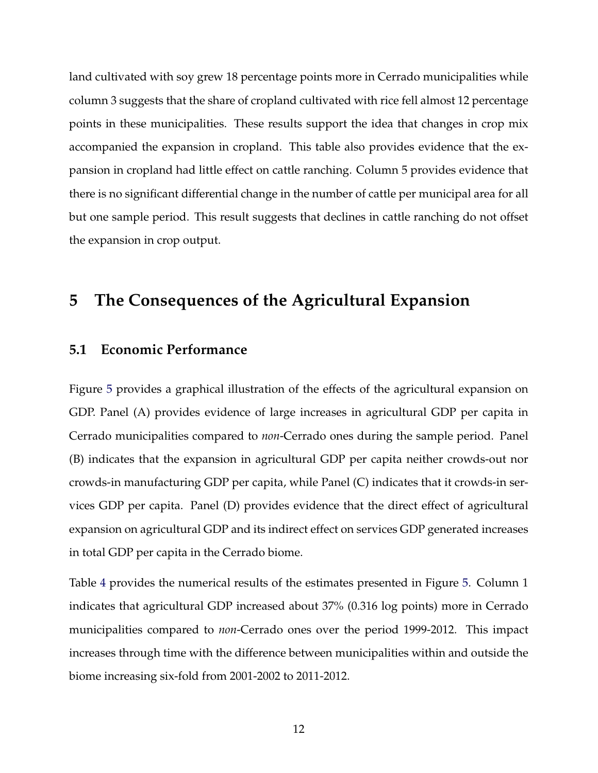land cultivated with soy grew 18 percentage points more in Cerrado municipalities while column 3 suggests that the share of cropland cultivated with rice fell almost 12 percentage points in these municipalities. These results support the idea that changes in crop mix accompanied the expansion in cropland. This table also provides evidence that the expansion in cropland had little effect on cattle ranching. Column 5 provides evidence that there is no significant differential change in the number of cattle per municipal area for all but one sample period. This result suggests that declines in cattle ranching do not offset the expansion in crop output.

# **5 The Consequences of the Agricultural Expansion**

### **5.1 Economic Performance**

Figure 5 provides a graphical illustration of the effects of the agricultural expansion on GDP. Panel (A) provides evidence of large increases in agricultural GDP per capita in Cerrado municipalities compared to *non*-Cerrado ones during the sample period. Panel (B) indicates that the expansion in agricultural GDP per capita neither crowds-out nor crowds-in manufacturing GDP per capita, while Panel (C) indicates that it crowds-in services GDP per capita. Panel (D) provides evidence that the direct effect of agricultural expansion on agricultural GDP and its indirect effect on services GDP generated increases in total GDP per capita in the Cerrado biome.

Table 4 provides the numerical results of the estimates presented in Figure 5. Column 1 indicates that agricultural GDP increased about 37% (0.316 log points) more in Cerrado municipalities compared to *non*-Cerrado ones over the period 1999-2012. This impact increases through time with the difference between municipalities within and outside the biome increasing six-fold from 2001-2002 to 2011-2012.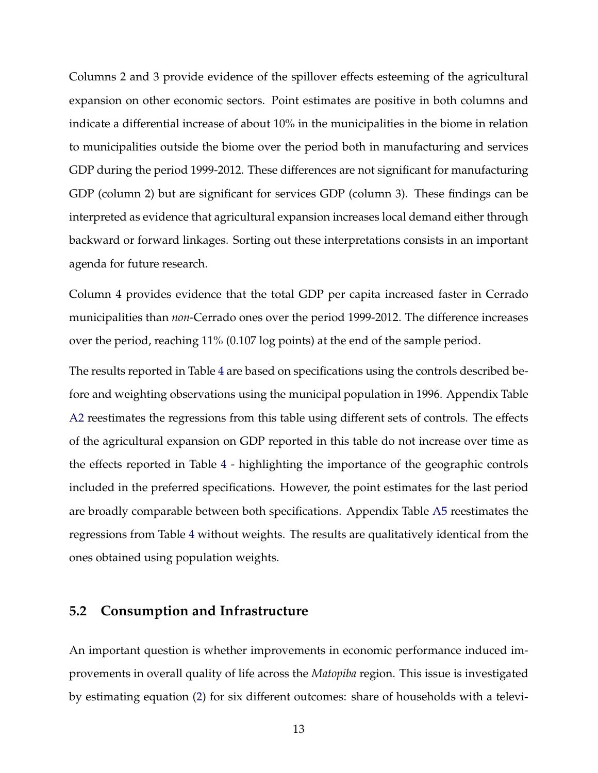Columns 2 and 3 provide evidence of the spillover effects esteeming of the agricultural expansion on other economic sectors. Point estimates are positive in both columns and indicate a differential increase of about 10% in the municipalities in the biome in relation to municipalities outside the biome over the period both in manufacturing and services GDP during the period 1999-2012. These differences are not significant for manufacturing GDP (column 2) but are significant for services GDP (column 3). These findings can be interpreted as evidence that agricultural expansion increases local demand either through backward or forward linkages. Sorting out these interpretations consists in an important agenda for future research.

Column 4 provides evidence that the total GDP per capita increased faster in Cerrado municipalities than *non*-Cerrado ones over the period 1999-2012. The difference increases over the period, reaching 11% (0.107 log points) at the end of the sample period.

The results reported in Table 4 are based on specifications using the controls described before and weighting observations using the municipal population in 1996. Appendix Table A2 reestimates the regressions from this table using different sets of controls. The effects of the agricultural expansion on GDP reported in this table do not increase over time as the effects reported in Table 4 - highlighting the importance of the geographic controls included in the preferred specifications. However, the point estimates for the last period are broadly comparable between both specifications. Appendix Table A5 reestimates the regressions from Table 4 without weights. The results are qualitatively identical from the ones obtained using population weights.

### **5.2 Consumption and Infrastructure**

An important question is whether improvements in economic performance induced improvements in overall quality of life across the *Matopiba* region. This issue is investigated by estimating equation (2) for six different outcomes: share of households with a televi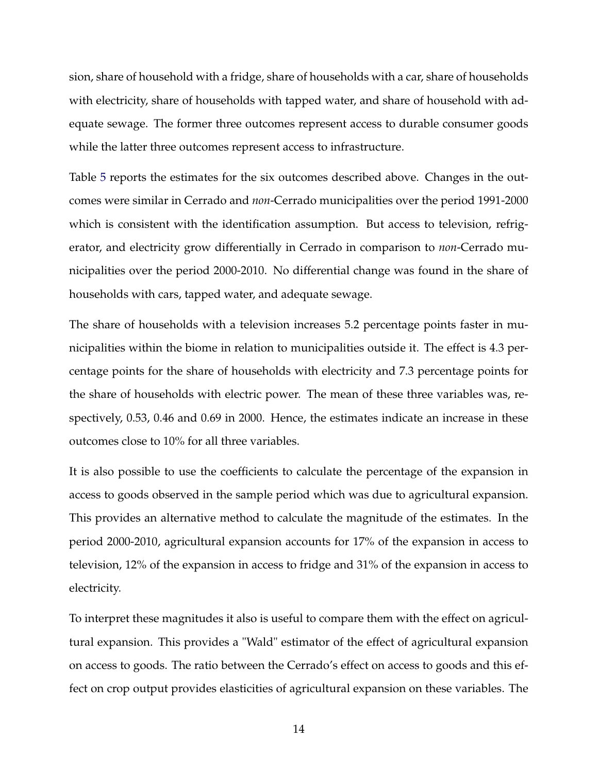sion, share of household with a fridge, share of households with a car, share of households with electricity, share of households with tapped water, and share of household with adequate sewage. The former three outcomes represent access to durable consumer goods while the latter three outcomes represent access to infrastructure.

Table 5 reports the estimates for the six outcomes described above. Changes in the outcomes were similar in Cerrado and *non*-Cerrado municipalities over the period 1991-2000 which is consistent with the identification assumption. But access to television, refrigerator, and electricity grow differentially in Cerrado in comparison to *non*-Cerrado municipalities over the period 2000-2010. No differential change was found in the share of households with cars, tapped water, and adequate sewage.

The share of households with a television increases 5.2 percentage points faster in municipalities within the biome in relation to municipalities outside it. The effect is 4.3 percentage points for the share of households with electricity and 7.3 percentage points for the share of households with electric power. The mean of these three variables was, respectively, 0.53, 0.46 and 0.69 in 2000. Hence, the estimates indicate an increase in these outcomes close to 10% for all three variables.

It is also possible to use the coefficients to calculate the percentage of the expansion in access to goods observed in the sample period which was due to agricultural expansion. This provides an alternative method to calculate the magnitude of the estimates. In the period 2000-2010, agricultural expansion accounts for 17% of the expansion in access to television, 12% of the expansion in access to fridge and 31% of the expansion in access to electricity.

To interpret these magnitudes it also is useful to compare them with the effect on agricultural expansion. This provides a "Wald" estimator of the effect of agricultural expansion on access to goods. The ratio between the Cerrado's effect on access to goods and this effect on crop output provides elasticities of agricultural expansion on these variables. The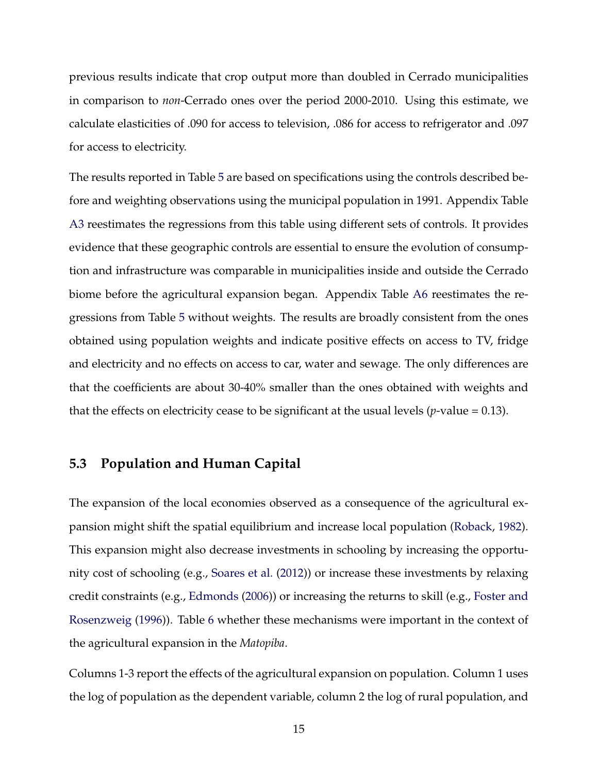previous results indicate that crop output more than doubled in Cerrado municipalities in comparison to *non*-Cerrado ones over the period 2000-2010. Using this estimate, we calculate elasticities of .090 for access to television, .086 for access to refrigerator and .097 for access to electricity.

The results reported in Table 5 are based on specifications using the controls described before and weighting observations using the municipal population in 1991. Appendix Table A3 reestimates the regressions from this table using different sets of controls. It provides evidence that these geographic controls are essential to ensure the evolution of consumption and infrastructure was comparable in municipalities inside and outside the Cerrado biome before the agricultural expansion began. Appendix Table A6 reestimates the regressions from Table 5 without weights. The results are broadly consistent from the ones obtained using population weights and indicate positive effects on access to TV, fridge and electricity and no effects on access to car, water and sewage. The only differences are that the coefficients are about 30-40% smaller than the ones obtained with weights and that the effects on electricity cease to be significant at the usual levels  $(p$ -value = 0.13).

## **5.3 Population and Human Capital**

The expansion of the local economies observed as a consequence of the agricultural expansion might shift the spatial equilibrium and increase local population (Roback, 1982). This expansion might also decrease investments in schooling by increasing the opportunity cost of schooling (e.g., Soares et al. (2012)) or increase these investments by relaxing credit constraints (e.g., Edmonds (2006)) or increasing the returns to skill (e.g., Foster and Rosenzweig (1996)). Table 6 whether these mechanisms were important in the context of the agricultural expansion in the *Matopiba*.

Columns 1-3 report the effects of the agricultural expansion on population. Column 1 uses the log of population as the dependent variable, column 2 the log of rural population, and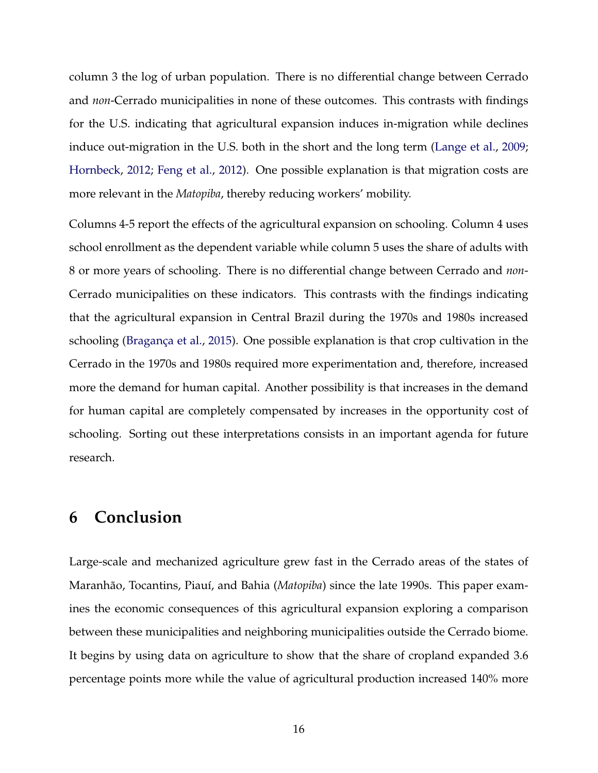column 3 the log of urban population. There is no differential change between Cerrado and *non*-Cerrado municipalities in none of these outcomes. This contrasts with findings for the U.S. indicating that agricultural expansion induces in-migration while declines induce out-migration in the U.S. both in the short and the long term (Lange et al., 2009; Hornbeck, 2012; Feng et al., 2012). One possible explanation is that migration costs are more relevant in the *Matopiba*, thereby reducing workers' mobility.

Columns 4-5 report the effects of the agricultural expansion on schooling. Column 4 uses school enrollment as the dependent variable while column 5 uses the share of adults with 8 or more years of schooling. There is no differential change between Cerrado and *non*-Cerrado municipalities on these indicators. This contrasts with the findings indicating that the agricultural expansion in Central Brazil during the 1970s and 1980s increased schooling (Bragança et al., 2015). One possible explanation is that crop cultivation in the Cerrado in the 1970s and 1980s required more experimentation and, therefore, increased more the demand for human capital. Another possibility is that increases in the demand for human capital are completely compensated by increases in the opportunity cost of schooling. Sorting out these interpretations consists in an important agenda for future research.

## **6 Conclusion**

Large-scale and mechanized agriculture grew fast in the Cerrado areas of the states of Maranhão, Tocantins, Piauí, and Bahia (*Matopiba*) since the late 1990s. This paper examines the economic consequences of this agricultural expansion exploring a comparison between these municipalities and neighboring municipalities outside the Cerrado biome. It begins by using data on agriculture to show that the share of cropland expanded 3.6 percentage points more while the value of agricultural production increased 140% more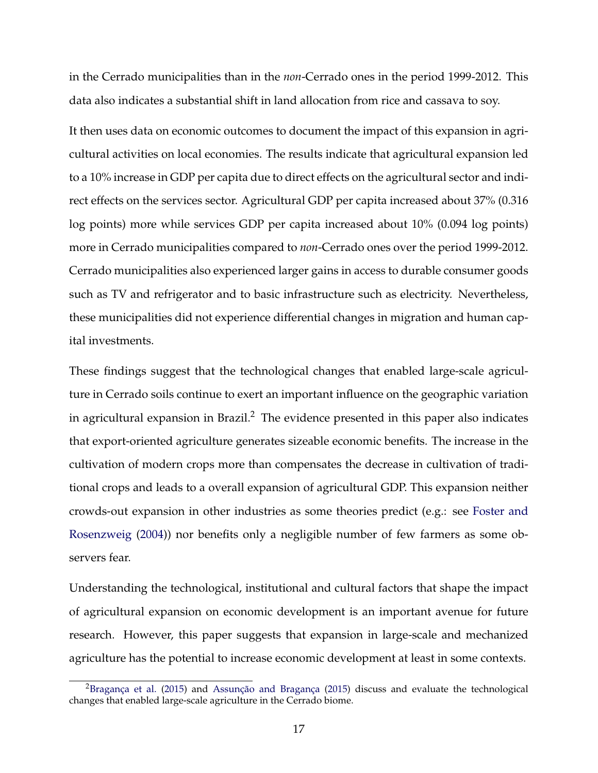in the Cerrado municipalities than in the *non*-Cerrado ones in the period 1999-2012. This data also indicates a substantial shift in land allocation from rice and cassava to soy.

It then uses data on economic outcomes to document the impact of this expansion in agricultural activities on local economies. The results indicate that agricultural expansion led to a 10% increase in GDP per capita due to direct effects on the agricultural sector and indirect effects on the services sector. Agricultural GDP per capita increased about 37% (0.316 log points) more while services GDP per capita increased about 10% (0.094 log points) more in Cerrado municipalities compared to *non*-Cerrado ones over the period 1999-2012. Cerrado municipalities also experienced larger gains in access to durable consumer goods such as TV and refrigerator and to basic infrastructure such as electricity. Nevertheless, these municipalities did not experience differential changes in migration and human capital investments.

These findings suggest that the technological changes that enabled large-scale agriculture in Cerrado soils continue to exert an important influence on the geographic variation in agricultural expansion in Brazil.<sup>2</sup> The evidence presented in this paper also indicates that export-oriented agriculture generates sizeable economic benefits. The increase in the cultivation of modern crops more than compensates the decrease in cultivation of traditional crops and leads to a overall expansion of agricultural GDP. This expansion neither crowds-out expansion in other industries as some theories predict (e.g.: see Foster and Rosenzweig (2004)) nor benefits only a negligible number of few farmers as some observers fear.

Understanding the technological, institutional and cultural factors that shape the impact of agricultural expansion on economic development is an important avenue for future research. However, this paper suggests that expansion in large-scale and mechanized agriculture has the potential to increase economic development at least in some contexts.

<sup>2</sup>Bragança et al. (2015) and Assunção and Bragança (2015) discuss and evaluate the technological changes that enabled large-scale agriculture in the Cerrado biome.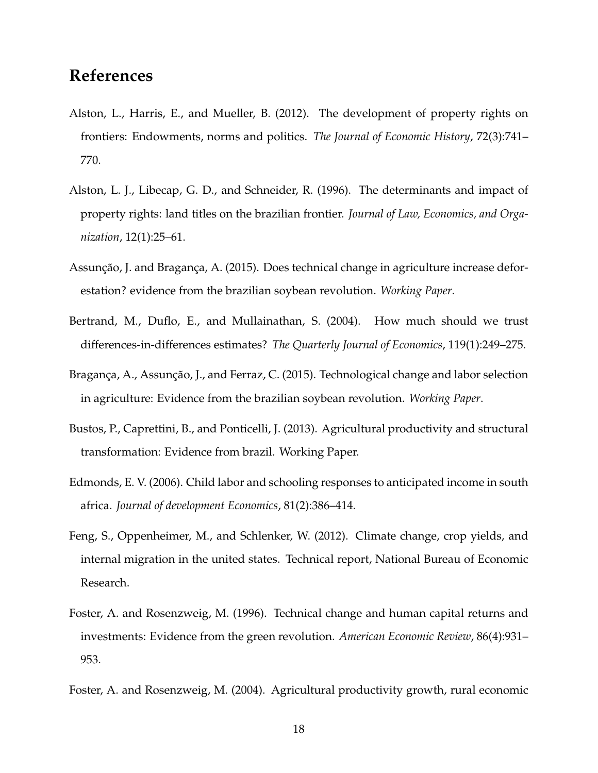# **References**

- Alston, L., Harris, E., and Mueller, B. (2012). The development of property rights on frontiers: Endowments, norms and politics. *The Journal of Economic History*, 72(3):741– 770.
- Alston, L. J., Libecap, G. D., and Schneider, R. (1996). The determinants and impact of property rights: land titles on the brazilian frontier. *Journal of Law, Economics, and Organization*, 12(1):25–61.
- Assunção, J. and Bragança, A. (2015). Does technical change in agriculture increase deforestation? evidence from the brazilian soybean revolution. *Working Paper*.
- Bertrand, M., Duflo, E., and Mullainathan, S. (2004). How much should we trust differences-in-differences estimates? *The Quarterly Journal of Economics*, 119(1):249–275.
- Bragança, A., Assunção, J., and Ferraz, C. (2015). Technological change and labor selection in agriculture: Evidence from the brazilian soybean revolution. *Working Paper*.
- Bustos, P., Caprettini, B., and Ponticelli, J. (2013). Agricultural productivity and structural transformation: Evidence from brazil. Working Paper.
- Edmonds, E. V. (2006). Child labor and schooling responses to anticipated income in south africa. *Journal of development Economics*, 81(2):386–414.
- Feng, S., Oppenheimer, M., and Schlenker, W. (2012). Climate change, crop yields, and internal migration in the united states. Technical report, National Bureau of Economic Research.
- Foster, A. and Rosenzweig, M. (1996). Technical change and human capital returns and investments: Evidence from the green revolution. *American Economic Review*, 86(4):931– 953.
- Foster, A. and Rosenzweig, M. (2004). Agricultural productivity growth, rural economic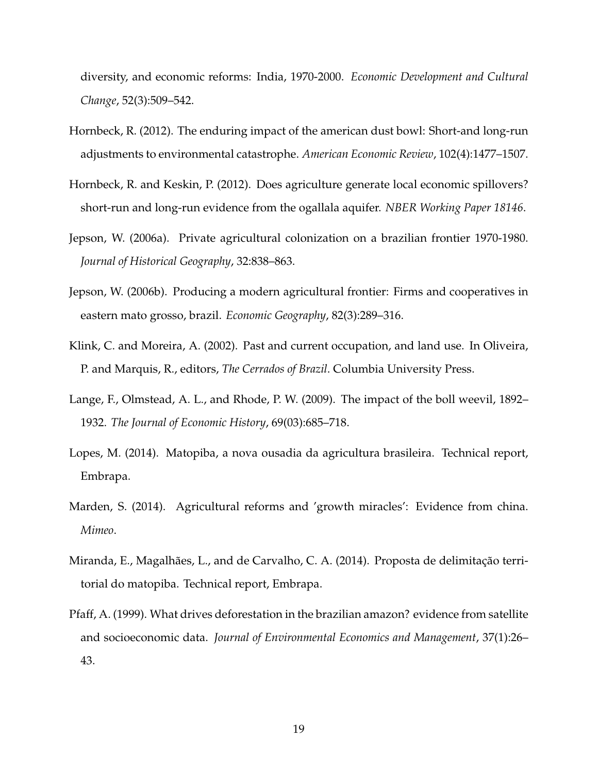diversity, and economic reforms: India, 1970-2000. *Economic Development and Cultural Change*, 52(3):509–542.

- Hornbeck, R. (2012). The enduring impact of the american dust bowl: Short-and long-run adjustments to environmental catastrophe. *American Economic Review*, 102(4):1477–1507.
- Hornbeck, R. and Keskin, P. (2012). Does agriculture generate local economic spillovers? short-run and long-run evidence from the ogallala aquifer. *NBER Working Paper 18146*.
- Jepson, W. (2006a). Private agricultural colonization on a brazilian frontier 1970-1980. *Journal of Historical Geography*, 32:838–863.
- Jepson, W. (2006b). Producing a modern agricultural frontier: Firms and cooperatives in eastern mato grosso, brazil. *Economic Geography*, 82(3):289–316.
- Klink, C. and Moreira, A. (2002). Past and current occupation, and land use. In Oliveira, P. and Marquis, R., editors, *The Cerrados of Brazil*. Columbia University Press.
- Lange, F., Olmstead, A. L., and Rhode, P. W. (2009). The impact of the boll weevil, 1892– 1932. *The Journal of Economic History*, 69(03):685–718.
- Lopes, M. (2014). Matopiba, a nova ousadia da agricultura brasileira. Technical report, Embrapa.
- Marden, S. (2014). Agricultural reforms and 'growth miracles': Evidence from china. *Mimeo*.
- Miranda, E., Magalhães, L., and de Carvalho, C. A. (2014). Proposta de delimitação territorial do matopiba. Technical report, Embrapa.
- Pfaff, A. (1999). What drives deforestation in the brazilian amazon? evidence from satellite and socioeconomic data. *Journal of Environmental Economics and Management*, 37(1):26– 43.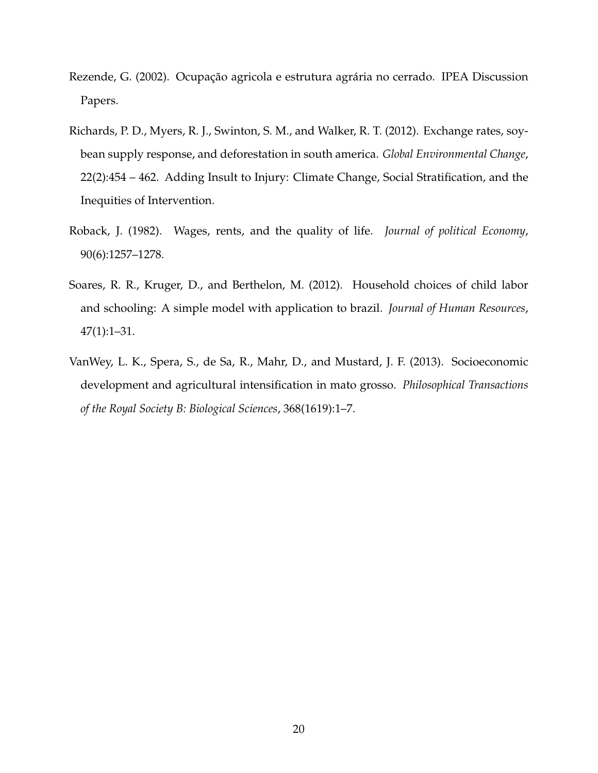- Rezende, G. (2002). Ocupação agricola e estrutura agrária no cerrado. IPEA Discussion Papers.
- Richards, P. D., Myers, R. J., Swinton, S. M., and Walker, R. T. (2012). Exchange rates, soybean supply response, and deforestation in south america. *Global Environmental Change*, 22(2):454 – 462. Adding Insult to Injury: Climate Change, Social Stratification, and the Inequities of Intervention.
- Roback, J. (1982). Wages, rents, and the quality of life. *Journal of political Economy*, 90(6):1257–1278.
- Soares, R. R., Kruger, D., and Berthelon, M. (2012). Household choices of child labor and schooling: A simple model with application to brazil. *Journal of Human Resources*, 47(1):1–31.
- VanWey, L. K., Spera, S., de Sa, R., Mahr, D., and Mustard, J. F. (2013). Socioeconomic development and agricultural intensification in mato grosso. *Philosophical Transactions of the Royal Society B: Biological Sciences*, 368(1619):1–7.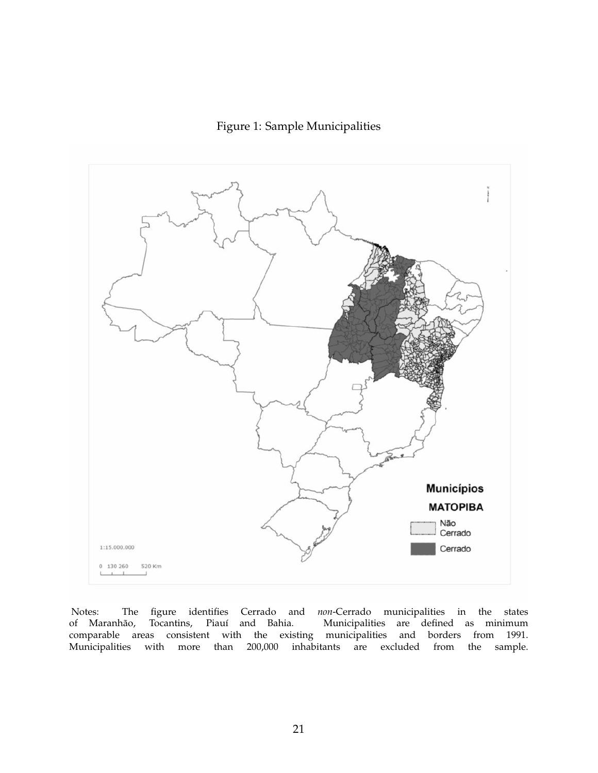Figure 1: Sample Municipalities



Notes: The figure identifies Cerrado and *non*-Cerrado municipalities in the states of Maranhão, Tocantins, Piauí and Bahia. Municipalities are defined as minimum comparable areas consistent with the existing municipalities and borders from 1991. Municipalities with more than 200,000 inhabitants are excluded from the sample.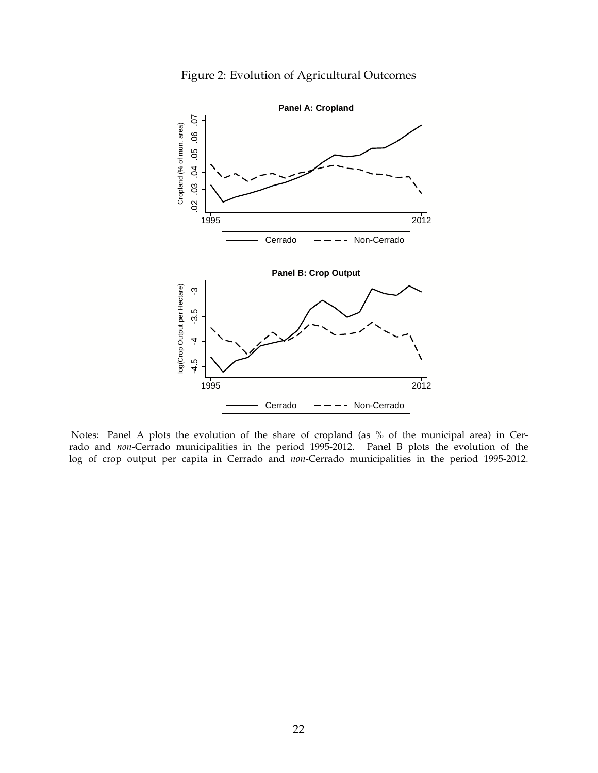



Notes: Panel A plots the evolution of the share of cropland (as % of the municipal area) in Cerrado and *non*-Cerrado municipalities in the period 1995-2012. Panel B plots the evolution of the log of crop output per capita in Cerrado and *non*-Cerrado municipalities in the period 1995-2012.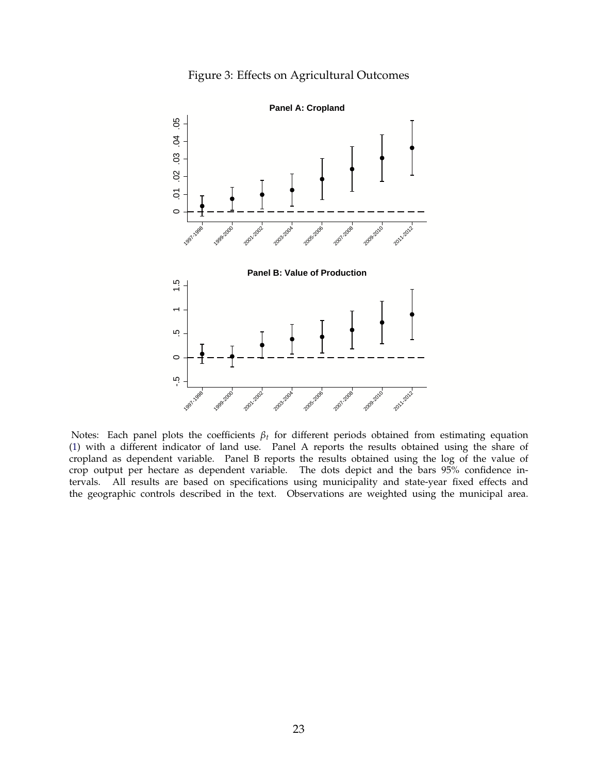



Notes: Each panel plots the coefficients *βt* for different periods obtained from estimating equation (1) with a different indicator of land use. Panel A reports the results obtained using the share of cropland as dependent variable. Panel B reports the results obtained using the log of the value of crop output per hectare as dependent variable. The dots depict and the bars 95% confidence intervals. All results are based on specifications using municipality and state-year fixed effects and the geographic controls described in the text. Observations are weighted using the municipal area.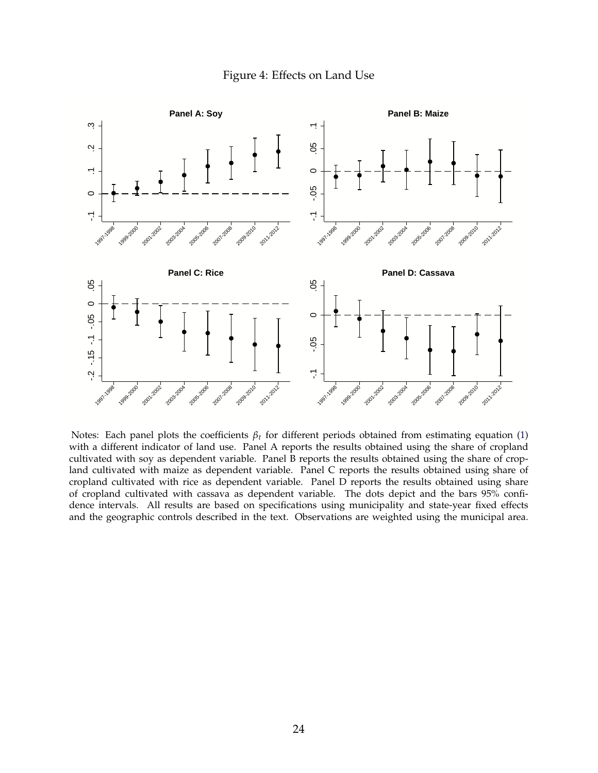#### Figure 4: Effects on Land Use



Notes: Each panel plots the coefficients *βt* for different periods obtained from estimating equation (1) with a different indicator of land use. Panel A reports the results obtained using the share of cropland cultivated with soy as dependent variable. Panel B reports the results obtained using the share of cropland cultivated with maize as dependent variable. Panel C reports the results obtained using share of cropland cultivated with rice as dependent variable. Panel D reports the results obtained using share of cropland cultivated with cassava as dependent variable. The dots depict and the bars 95% confidence intervals. All results are based on specifications using municipality and state-year fixed effects and the geographic controls described in the text. Observations are weighted using the municipal area.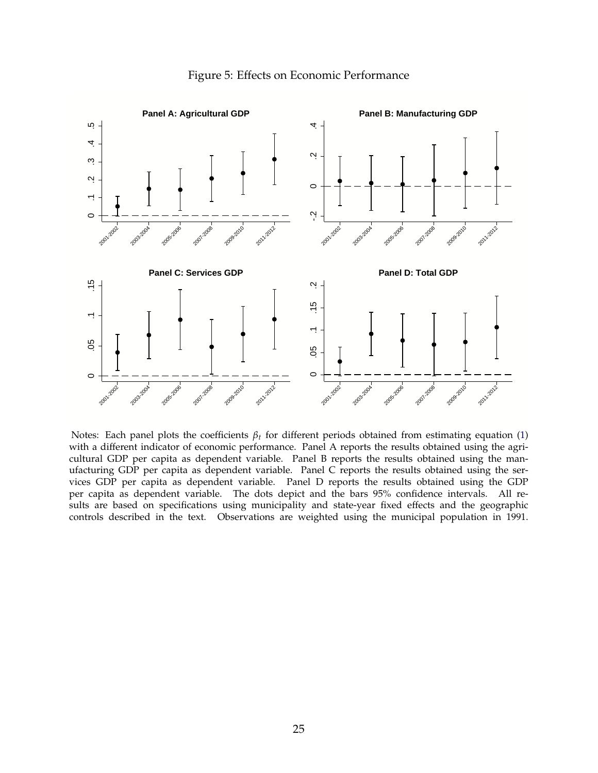

#### Figure 5: Effects on Economic Performance

Notes: Each panel plots the coefficients *βt* for different periods obtained from estimating equation (1) with a different indicator of economic performance. Panel A reports the results obtained using the agricultural GDP per capita as dependent variable. Panel B reports the results obtained using the manufacturing GDP per capita as dependent variable. Panel C reports the results obtained using the services GDP per capita as dependent variable. Panel D reports the results obtained using the GDP per capita as dependent variable. The dots depict and the bars 95% confidence intervals. All results are based on specifications using municipality and state-year fixed effects and the geographic controls described in the text. Observations are weighted using the municipal population in 1991.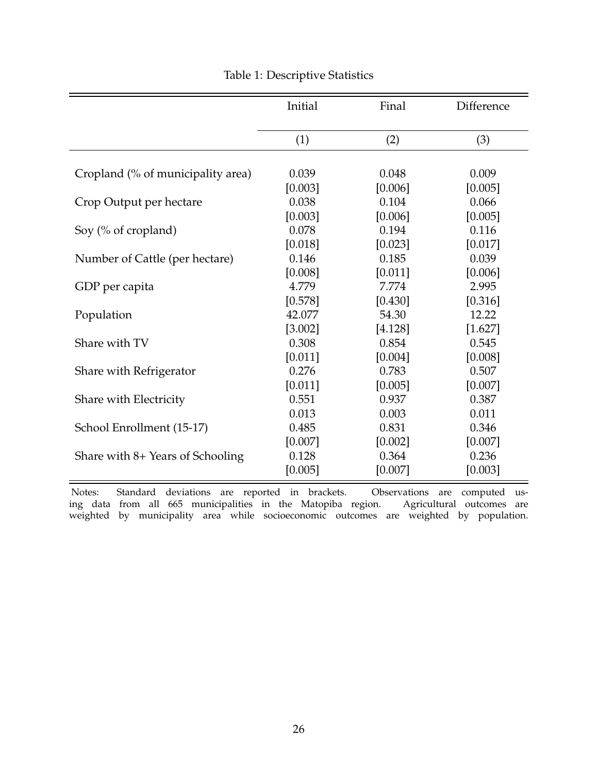|                                   | Initial | Final   | Difference |
|-----------------------------------|---------|---------|------------|
|                                   | (1)     | (2)     | (3)        |
|                                   |         |         |            |
| Cropland (% of municipality area) | 0.039   | 0.048   | 0.009      |
|                                   | [0.003] | [0.006] | [0.005]    |
| Crop Output per hectare           | 0.038   | 0.104   | 0.066      |
|                                   | [0.003] | [0.006] | [0.005]    |
| Soy (% of cropland)               | 0.078   | 0.194   | 0.116      |
|                                   | [0.018] | [0.023] | [0.017]    |
| Number of Cattle (per hectare)    | 0.146   | 0.185   | 0.039      |
|                                   | [0.008] | [0.011] | [0.006]    |
| GDP per capita                    | 4.779   | 7.774   | 2.995      |
|                                   | [0.578] | [0.430] | [0.316]    |
| Population                        | 42.077  | 54.30   | 12.22      |
|                                   | [3.002] | [4.128] | [1.627]    |
| Share with TV                     | 0.308   | 0.854   | 0.545      |
|                                   | [0.011] | [0.004] | [0.008]    |
| Share with Refrigerator           | 0.276   | 0.783   | 0.507      |
|                                   | [0.011] | [0.005] | [0.007]    |
| Share with Electricity            | 0.551   | 0.937   | 0.387      |
|                                   | 0.013   | 0.003   | 0.011      |
| School Enrollment (15-17)         | 0.485   | 0.831   | 0.346      |
|                                   | [0.007] | [0.002] | [0.007]    |
| Share with 8+ Years of Schooling  | 0.128   | 0.364   | 0.236      |
|                                   | [0.005] | [0.007] | [0.003]    |

## Table 1: Descriptive Statistics

Notes: Standard deviations are reported in brackets. Observations are computed using data from all 665 municipalities in the Matopiba region. Agricultural outcomes are weighted by municipality area while socioeconomic outcomes are weighted by population.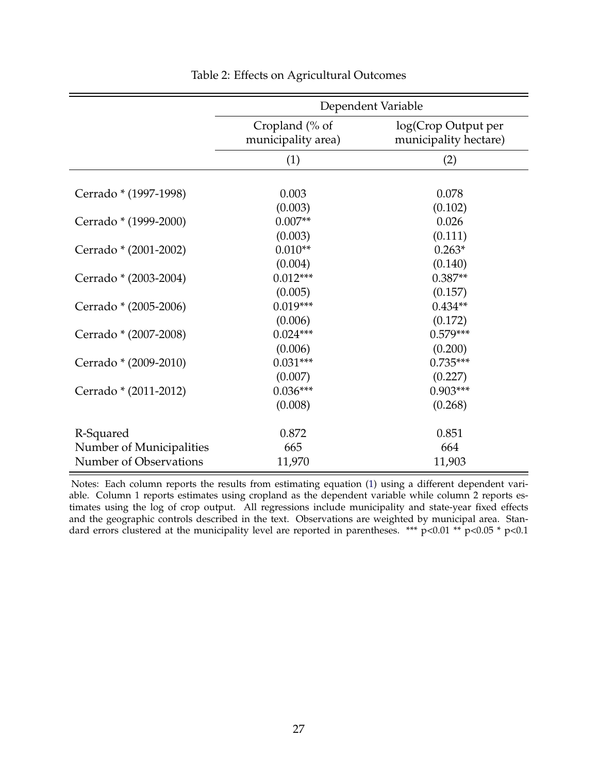|                          | Dependent Variable                   |                                              |  |  |  |  |  |
|--------------------------|--------------------------------------|----------------------------------------------|--|--|--|--|--|
|                          | Cropland (% of<br>municipality area) | log(Crop Output per<br>municipality hectare) |  |  |  |  |  |
|                          | (1)                                  | (2)                                          |  |  |  |  |  |
|                          |                                      |                                              |  |  |  |  |  |
| Cerrado * (1997-1998)    | 0.003                                | 0.078                                        |  |  |  |  |  |
|                          | (0.003)                              | (0.102)                                      |  |  |  |  |  |
| Cerrado * (1999-2000)    | $0.007**$                            | 0.026                                        |  |  |  |  |  |
|                          | (0.003)                              | (0.111)                                      |  |  |  |  |  |
| Cerrado * (2001-2002)    | $0.010**$                            | $0.263*$                                     |  |  |  |  |  |
|                          | (0.004)                              | (0.140)                                      |  |  |  |  |  |
| Cerrado * (2003-2004)    | $0.012***$                           | $0.387**$                                    |  |  |  |  |  |
|                          | (0.005)                              | (0.157)                                      |  |  |  |  |  |
| Cerrado * (2005-2006)    | $0.019***$                           | $0.434**$                                    |  |  |  |  |  |
|                          | (0.006)                              | (0.172)                                      |  |  |  |  |  |
| Cerrado * (2007-2008)    | $0.024***$                           | $0.579***$                                   |  |  |  |  |  |
|                          | (0.006)                              | (0.200)                                      |  |  |  |  |  |
| Cerrado * (2009-2010)    | $0.031***$                           | $0.735***$                                   |  |  |  |  |  |
|                          | (0.007)                              | (0.227)                                      |  |  |  |  |  |
| Cerrado * (2011-2012)    | $0.036***$                           | $0.903***$                                   |  |  |  |  |  |
|                          | (0.008)                              | (0.268)                                      |  |  |  |  |  |
|                          | 0.872                                | 0.851                                        |  |  |  |  |  |
| R-Squared                |                                      |                                              |  |  |  |  |  |
| Number of Municipalities | 665                                  | 664                                          |  |  |  |  |  |
| Number of Observations   | 11,970                               | 11,903                                       |  |  |  |  |  |

#### Table 2: Effects on Agricultural Outcomes

Notes: Each column reports the results from estimating equation (1) using a different dependent variable. Column 1 reports estimates using cropland as the dependent variable while column 2 reports estimates using the log of crop output. All regressions include municipality and state-year fixed effects and the geographic controls described in the text. Observations are weighted by municipal area. Standard errors clustered at the municipality level are reported in parentheses. \*\*\*  $p<0.01$  \*\*  $p<0.05$  \*  $p<0.1$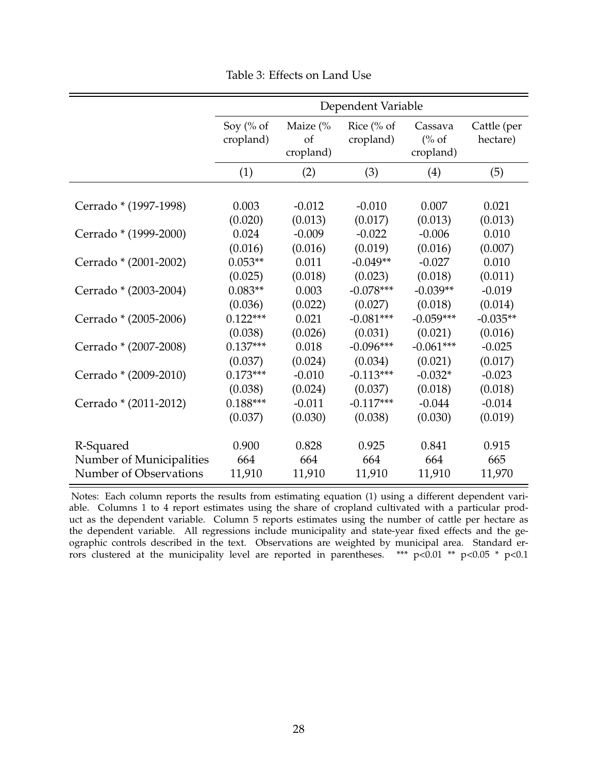|                          | Dependent Variable     |                                        |                                    |                                          |                         |  |  |  |
|--------------------------|------------------------|----------------------------------------|------------------------------------|------------------------------------------|-------------------------|--|--|--|
|                          | Soy (% of<br>cropland) | Maize $\frac{6}{6}$<br>of<br>cropland) | Rice $\frac{6}{6}$ of<br>cropland) | Cassava<br>$\frac{6}{6}$ of<br>cropland) | Cattle (per<br>hectare) |  |  |  |
|                          | (1)                    | (2)                                    | (3)                                | (4)                                      | (5)                     |  |  |  |
|                          |                        |                                        |                                    |                                          |                         |  |  |  |
| Cerrado * (1997-1998)    | 0.003                  | $-0.012$                               | $-0.010$                           | 0.007                                    | 0.021                   |  |  |  |
|                          | (0.020)                | (0.013)                                | (0.017)                            | (0.013)                                  | (0.013)                 |  |  |  |
| Cerrado * (1999-2000)    | 0.024                  | $-0.009$                               | $-0.022$                           | $-0.006$                                 | 0.010                   |  |  |  |
|                          | (0.016)                | (0.016)                                | (0.019)                            | (0.016)                                  | (0.007)                 |  |  |  |
| Cerrado * (2001-2002)    | $0.053**$              | 0.011                                  | $-0.049**$                         | $-0.027$                                 | 0.010                   |  |  |  |
|                          | (0.025)                | (0.018)                                | (0.023)                            | (0.018)                                  | (0.011)                 |  |  |  |
| Cerrado * (2003-2004)    | $0.083**$              | 0.003                                  | $-0.078***$                        | $-0.039**$                               | $-0.019$                |  |  |  |
|                          | (0.036)                | (0.022)                                | (0.027)                            | (0.018)                                  | (0.014)                 |  |  |  |
| Cerrado * (2005-2006)    | $0.122***$             | 0.021                                  | $-0.081***$                        | $-0.059***$                              | $-0.035**$              |  |  |  |
|                          | (0.038)                | (0.026)                                | (0.031)                            | (0.021)                                  | (0.016)                 |  |  |  |
| Cerrado * (2007-2008)    | $0.137***$             | 0.018                                  | $-0.096***$                        | $-0.061***$                              | $-0.025$                |  |  |  |
|                          | (0.037)                | (0.024)                                | (0.034)                            | (0.021)                                  | (0.017)                 |  |  |  |
| Cerrado * (2009-2010)    | $0.173***$             | $-0.010$                               | $-0.113***$                        | $-0.032*$                                | $-0.023$                |  |  |  |
|                          | (0.038)                | (0.024)                                | (0.037)                            | (0.018)                                  | (0.018)                 |  |  |  |
| Cerrado * (2011-2012)    | $0.188***$             | $-0.011$                               | $-0.117***$                        | $-0.044$                                 | $-0.014$                |  |  |  |
|                          | (0.037)                | (0.030)                                | (0.038)                            | (0.030)                                  | (0.019)                 |  |  |  |
| R-Squared                | 0.900                  | 0.828                                  | 0.925                              | 0.841                                    | 0.915                   |  |  |  |
| Number of Municipalities | 664                    | 664                                    | 664                                | 664                                      | 665                     |  |  |  |
| Number of Observations   | 11,910                 | 11,910                                 | 11,910                             | 11,910                                   | 11,970                  |  |  |  |

Table 3: Effects on Land Use

Notes: Each column reports the results from estimating equation (1) using a different dependent variable. Columns 1 to 4 report estimates using the share of cropland cultivated with a particular product as the dependent variable. Column 5 reports estimates using the number of cattle per hectare as the dependent variable. All regressions include municipality and state-year fixed effects and the geographic controls described in the text. Observations are weighted by municipal area. Standard errors clustered at the municipality level are reported in parentheses. \*\*\*  $p<0.01$  \*\*  $p<0.05$  \*  $p<0.1$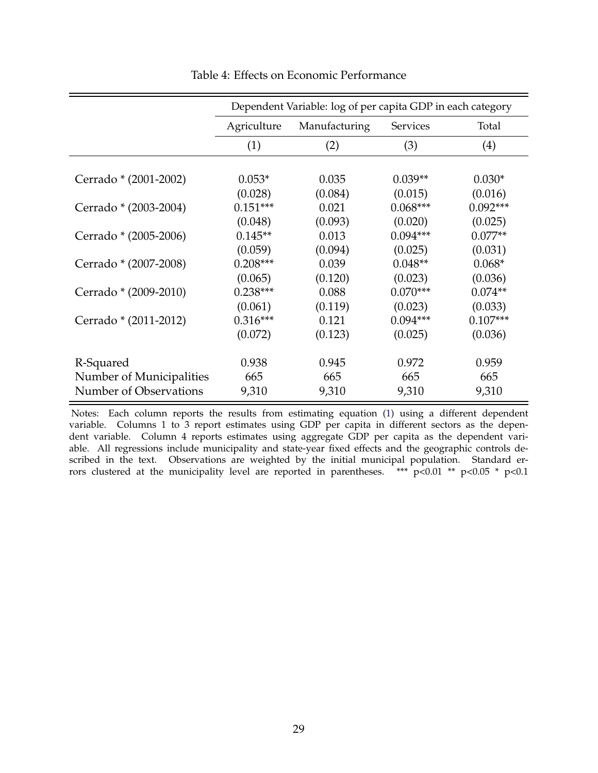|                          | Dependent Variable: log of per capita GDP in each category |               |            |            |  |  |  |
|--------------------------|------------------------------------------------------------|---------------|------------|------------|--|--|--|
|                          | Agriculture                                                | Manufacturing | Services   | Total      |  |  |  |
|                          | (1)                                                        | (2)           | (3)        | (4)        |  |  |  |
|                          |                                                            |               |            |            |  |  |  |
| Cerrado * (2001-2002)    | $0.053*$                                                   | 0.035         | $0.039**$  | $0.030*$   |  |  |  |
|                          | (0.028)                                                    | (0.084)       | (0.015)    | (0.016)    |  |  |  |
| Cerrado * (2003-2004)    | $0.151***$                                                 | 0.021         | $0.068***$ | $0.092***$ |  |  |  |
|                          | (0.048)                                                    | (0.093)       | (0.020)    | (0.025)    |  |  |  |
| Cerrado * (2005-2006)    | $0.145**$                                                  | 0.013         | $0.094***$ | $0.077**$  |  |  |  |
|                          | (0.059)                                                    | (0.094)       | (0.025)    | (0.031)    |  |  |  |
| Cerrado * (2007-2008)    | $0.208***$                                                 | 0.039         | $0.048**$  | $0.068*$   |  |  |  |
|                          | (0.065)                                                    | (0.120)       | (0.023)    | (0.036)    |  |  |  |
| Cerrado * (2009-2010)    | $0.238***$                                                 | 0.088         | $0.070***$ | $0.074**$  |  |  |  |
|                          | (0.061)                                                    | (0.119)       | (0.023)    | (0.033)    |  |  |  |
| Cerrado * (2011-2012)    | $0.316***$                                                 | 0.121         | $0.094***$ | $0.107***$ |  |  |  |
|                          | (0.072)                                                    | (0.123)       | (0.025)    | (0.036)    |  |  |  |
|                          |                                                            |               |            |            |  |  |  |
| R-Squared                | 0.938                                                      | 0.945         | 0.972      | 0.959      |  |  |  |
| Number of Municipalities | 665                                                        | 665           | 665        | 665        |  |  |  |
| Number of Observations   | 9,310                                                      | 9,310         | 9,310      | 9,310      |  |  |  |

Table 4: Effects on Economic Performance

Notes: Each column reports the results from estimating equation (1) using a different dependent variable. Columns 1 to 3 report estimates using GDP per capita in different sectors as the dependent variable. Column 4 reports estimates using aggregate GDP per capita as the dependent variable. All regressions include municipality and state-year fixed effects and the geographic controls described in the text. Observations are weighted by the initial municipal population. Standard errors clustered at the municipality level are reported in parentheses. \*\*\* p<0.01 \*\* p<0.05 \* p<0.1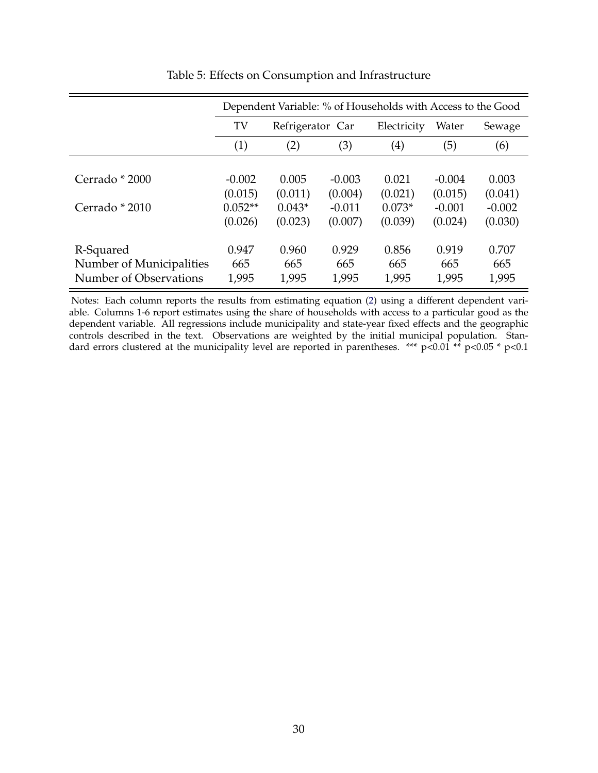|                                                                 | Dependent Variable: % of Households with Access to the Good |                       |                       |                       |                       |                       |  |
|-----------------------------------------------------------------|-------------------------------------------------------------|-----------------------|-----------------------|-----------------------|-----------------------|-----------------------|--|
|                                                                 | TV<br>Refrigerator Car                                      |                       |                       | Electricity           | Water                 | Sewage                |  |
|                                                                 | (1)                                                         | (2)                   | (3)                   | $\left( 4\right)$     | (5)                   | (6)                   |  |
| Cerrado * 2000                                                  | $-0.002$                                                    | 0.005                 | $-0.003$              | 0.021                 | $-0.004$              | 0.003                 |  |
|                                                                 | (0.015)                                                     | (0.011)               | (0.004)               | (0.021)               | (0.015)               | (0.041)               |  |
| Cerrado * 2010                                                  | $0.052**$<br>(0.026)                                        | $0.043*$<br>(0.023)   | $-0.011$<br>(0.007)   | $0.073*$<br>(0.039)   | $-0.001$<br>(0.024)   | $-0.002$<br>(0.030)   |  |
| R-Squared<br>Number of Municipalities<br>Number of Observations | 0.947<br>665<br>1,995                                       | 0.960<br>665<br>1,995 | 0.929<br>665<br>1,995 | 0.856<br>665<br>1,995 | 0.919<br>665<br>1,995 | 0.707<br>665<br>1,995 |  |

### Table 5: Effects on Consumption and Infrastructure

Notes: Each column reports the results from estimating equation (2) using a different dependent variable. Columns 1-6 report estimates using the share of households with access to a particular good as the dependent variable. All regressions include municipality and state-year fixed effects and the geographic controls described in the text. Observations are weighted by the initial municipal population. Standard errors clustered at the municipality level are reported in parentheses. \*\*\*  $p < 0.01$  \*\*  $p < 0.05$  \*  $p < 0.1$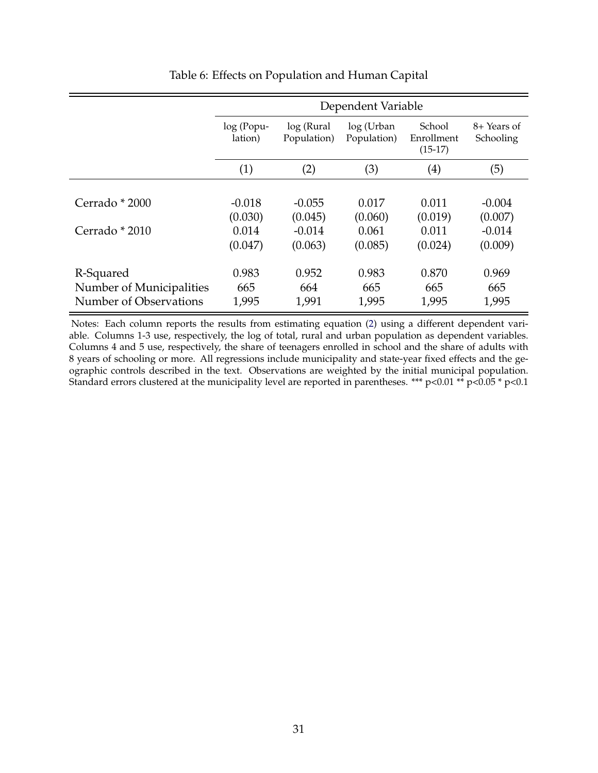|                                                                 | Dependent Variable    |                           |                           |                                   |                          |  |  |  |
|-----------------------------------------------------------------|-----------------------|---------------------------|---------------------------|-----------------------------------|--------------------------|--|--|--|
|                                                                 | log (Popu-<br>lation) | log (Rural<br>Population) | log (Urban<br>Population) | School<br>Enrollment<br>$(15-17)$ | 8+ Years of<br>Schooling |  |  |  |
|                                                                 | (1)                   | (2)                       | (3)                       | $\left( 4\right)$                 | (5)                      |  |  |  |
| Cerrado * 2000                                                  | $-0.018$<br>(0.030)   | $-0.055$<br>(0.045)       | 0.017<br>(0.060)          | 0.011<br>(0.019)                  | $-0.004$<br>(0.007)      |  |  |  |
| Cerrado * 2010                                                  | 0.014<br>(0.047)      | $-0.014$<br>(0.063)       | 0.061<br>(0.085)          | 0.011<br>(0.024)                  | $-0.014$<br>(0.009)      |  |  |  |
| R-Squared<br>Number of Municipalities<br>Number of Observations | 0.983<br>665<br>1,995 | 0.952<br>664<br>1,991     | 0.983<br>665<br>1,995     | 0.870<br>665<br>1,995             | 0.969<br>665<br>1,995    |  |  |  |

## Table 6: Effects on Population and Human Capital

Notes: Each column reports the results from estimating equation (2) using a different dependent variable. Columns 1-3 use, respectively, the log of total, rural and urban population as dependent variables. Columns 4 and 5 use, respectively, the share of teenagers enrolled in school and the share of adults with 8 years of schooling or more. All regressions include municipality and state-year fixed effects and the geographic controls described in the text. Observations are weighted by the initial municipal population. Standard errors clustered at the municipality level are reported in parentheses. \*\*\* p<0.01 \*\* p<0.05 \* p<0.1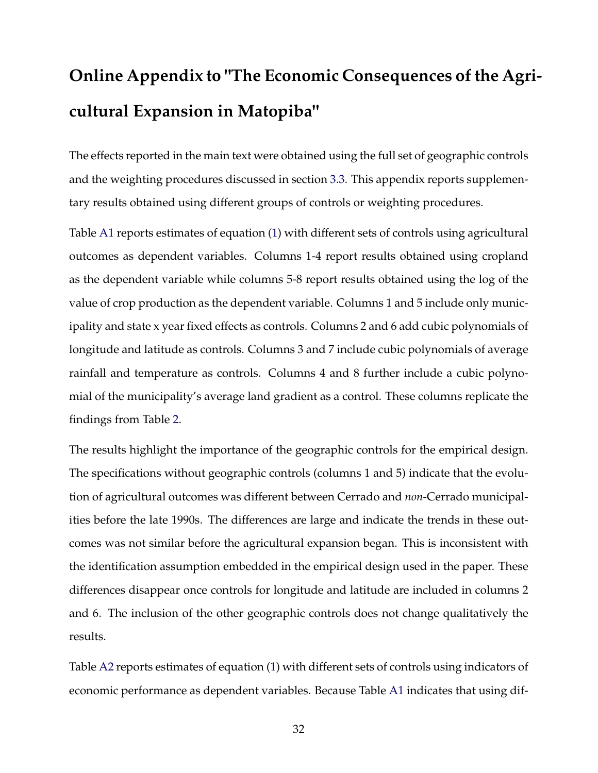# **Online Appendix to "The Economic Consequences of the Agricultural Expansion in Matopiba"**

The effects reported in the main text were obtained using the full set of geographic controls and the weighting procedures discussed in section 3.3. This appendix reports supplementary results obtained using different groups of controls or weighting procedures.

Table A1 reports estimates of equation (1) with different sets of controls using agricultural outcomes as dependent variables. Columns 1-4 report results obtained using cropland as the dependent variable while columns 5-8 report results obtained using the log of the value of crop production as the dependent variable. Columns 1 and 5 include only municipality and state x year fixed effects as controls. Columns 2 and 6 add cubic polynomials of longitude and latitude as controls. Columns 3 and 7 include cubic polynomials of average rainfall and temperature as controls. Columns 4 and 8 further include a cubic polynomial of the municipality's average land gradient as a control. These columns replicate the findings from Table 2.

The results highlight the importance of the geographic controls for the empirical design. The specifications without geographic controls (columns 1 and 5) indicate that the evolution of agricultural outcomes was different between Cerrado and *non*-Cerrado municipalities before the late 1990s. The differences are large and indicate the trends in these outcomes was not similar before the agricultural expansion began. This is inconsistent with the identification assumption embedded in the empirical design used in the paper. These differences disappear once controls for longitude and latitude are included in columns 2 and 6. The inclusion of the other geographic controls does not change qualitatively the results.

Table A2 reports estimates of equation (1) with different sets of controls using indicators of economic performance as dependent variables. Because Table A1 indicates that using dif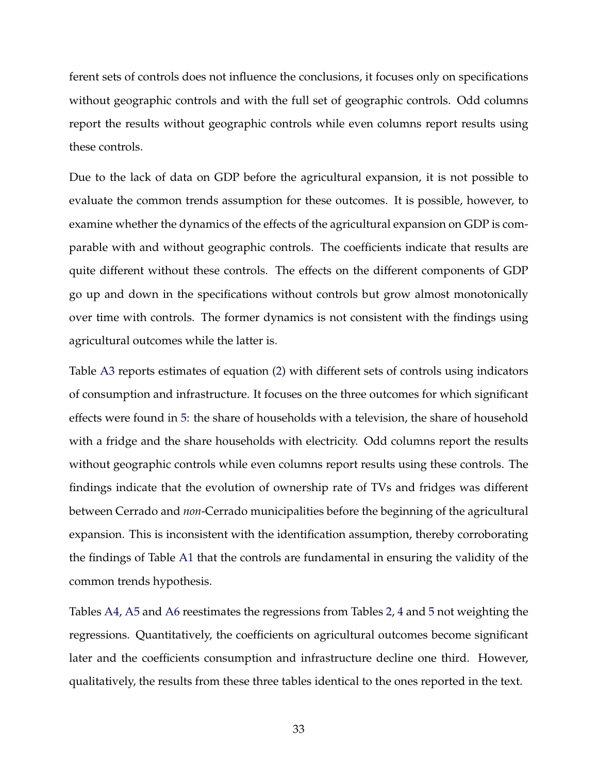ferent sets of controls does not influence the conclusions, it focuses only on specifications without geographic controls and with the full set of geographic controls. Odd columns report the results without geographic controls while even columns report results using these controls.

Due to the lack of data on GDP before the agricultural expansion, it is not possible to evaluate the common trends assumption for these outcomes. It is possible, however, to examine whether the dynamics of the effects of the agricultural expansion on GDP is comparable with and without geographic controls. The coefficients indicate that results are quite different without these controls. The effects on the different components of GDP go up and down in the specifications without controls but grow almost monotonically over time with controls. The former dynamics is not consistent with the findings using agricultural outcomes while the latter is.

Table A3 reports estimates of equation (2) with different sets of controls using indicators of consumption and infrastructure. It focuses on the three outcomes for which significant effects were found in 5: the share of households with a television, the share of household with a fridge and the share households with electricity. Odd columns report the results without geographic controls while even columns report results using these controls. The findings indicate that the evolution of ownership rate of TVs and fridges was different between Cerrado and *non*-Cerrado municipalities before the beginning of the agricultural expansion. This is inconsistent with the identification assumption, thereby corroborating the findings of Table A1 that the controls are fundamental in ensuring the validity of the common trends hypothesis.

Tables A4, A5 and A6 reestimates the regressions from Tables 2, 4 and 5 not weighting the regressions. Quantitatively, the coefficients on agricultural outcomes become significant later and the coefficients consumption and infrastructure decline one third. However, qualitatively, the results from these three tables identical to the ones reported in the text.

33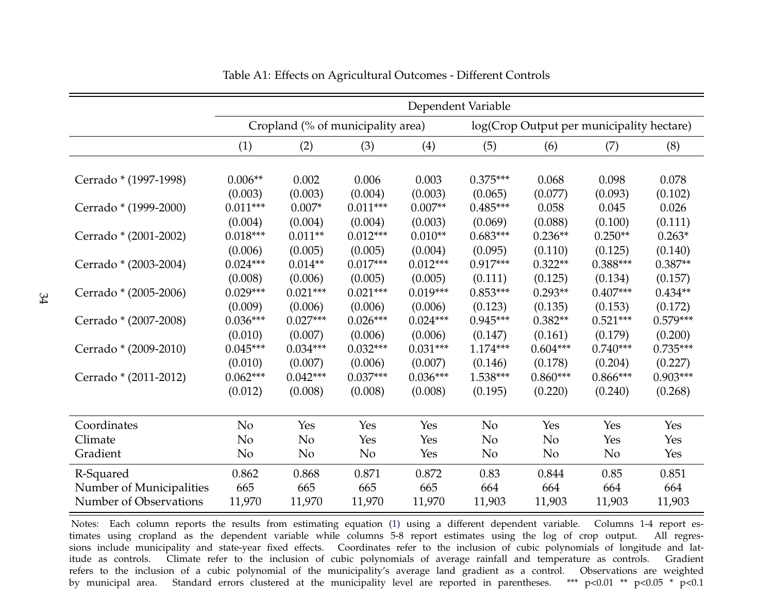|                          | Dependent Variable    |                     |                                   |                      |                       |                                           |                  |                  |  |
|--------------------------|-----------------------|---------------------|-----------------------------------|----------------------|-----------------------|-------------------------------------------|------------------|------------------|--|
|                          |                       |                     | Cropland (% of municipality area) |                      |                       | log(Crop Output per municipality hectare) |                  |                  |  |
|                          | (1)                   | (2)                 | (3)                               | (4)                  | (5)                   | (6)                                       | (7)              | (8)              |  |
|                          |                       |                     |                                   |                      |                       |                                           |                  |                  |  |
| Cerrado * (1997-1998)    | $0.006**$             | 0.002               | 0.006                             | 0.003                | $0.375***$            | 0.068                                     | 0.098            | 0.078            |  |
| Cerrado * (1999-2000)    | (0.003)<br>$0.011***$ | (0.003)<br>$0.007*$ | (0.004)<br>$0.011***$             | (0.003)<br>$0.007**$ | (0.065)<br>$0.485***$ | (0.077)<br>0.058                          | (0.093)<br>0.045 | (0.102)<br>0.026 |  |
|                          | (0.004)               | (0.004)             | (0.004)                           | (0.003)              | (0.069)               | (0.088)                                   | (0.100)          | (0.111)          |  |
| Cerrado * (2001-2002)    | $0.018***$            | $0.011**$           | $0.012***$                        | $0.010**$            | $0.683***$            | $0.236**$                                 | $0.250**$        | $0.263*$         |  |
|                          | (0.006)               | (0.005)             | (0.005)                           | (0.004)              | (0.095)               | (0.110)                                   | (0.125)          | (0.140)          |  |
| Cerrado * (2003-2004)    | $0.024***$            | $0.014**$           | $0.017***$                        | $0.012***$           | $0.917***$            | $0.322**$                                 | $0.388***$       | $0.387**$        |  |
|                          | (0.008)               | (0.006)             | (0.005)                           | (0.005)              | (0.111)               | (0.125)                                   | (0.134)          | (0.157)          |  |
| Cerrado * (2005-2006)    | $0.029***$            | $0.021***$          | $0.021***$                        | $0.019***$           | $0.853***$            | $0.293**$                                 | $0.407***$       | $0.434**$        |  |
|                          | (0.009)               | (0.006)             | (0.006)                           | (0.006)              | (0.123)               | (0.135)                                   | (0.153)          | (0.172)          |  |
| Cerrado * (2007-2008)    | $0.036***$            | $0.027***$          | $0.026***$                        | $0.024***$           | $0.945***$            | $0.382**$                                 | $0.521***$       | $0.579***$       |  |
|                          | (0.010)               | (0.007)             | (0.006)                           | (0.006)              | (0.147)               | (0.161)                                   | (0.179)          | (0.200)          |  |
| Cerrado * (2009-2010)    | $0.045***$            | $0.034***$          | $0.032***$                        | $0.031***$           | $1.174***$            | $0.604***$                                | $0.740***$       | $0.735***$       |  |
|                          | (0.010)               | (0.007)             | (0.006)                           | (0.007)              | (0.146)               | (0.178)                                   | (0.204)          | (0.227)          |  |
| Cerrado * (2011-2012)    | $0.062***$            | $0.042***$          | $0.037***$                        | $0.036***$           | 1.538***              | $0.860***$                                | $0.866***$       | $0.903***$       |  |
|                          | (0.012)               | (0.008)             | (0.008)                           | (0.008)              | (0.195)               | (0.220)                                   | (0.240)          | (0.268)          |  |
|                          |                       |                     |                                   |                      |                       |                                           |                  |                  |  |
| Coordinates              | N <sub>o</sub>        | Yes                 | Yes                               | Yes                  | N <sub>o</sub>        | Yes                                       | Yes              | Yes              |  |
| Climate                  | No                    | No                  | Yes                               | Yes                  | N <sub>o</sub>        | N <sub>o</sub>                            | Yes              | Yes              |  |
| Gradient                 | No                    | N <sub>o</sub>      | N <sub>o</sub>                    | Yes                  | N <sub>o</sub>        | N <sub>o</sub>                            | No               | Yes              |  |
| R-Squared                | 0.862                 | 0.868               | 0.871                             | 0.872                | 0.83                  | 0.844                                     | 0.85             | 0.851            |  |
| Number of Municipalities | 665                   | 665                 | 665                               | 665                  | 664                   | 664                                       | 664              | 664              |  |
| Number of Observations   | 11,970                | 11,970              | 11,970                            | 11,970               | 11,903                | 11,903                                    | 11,903           | 11,903           |  |

Table A1: Effects on Agricultural Outcomes - Different Controls

Notes: Each column reports the results from estimating equation (1) using <sup>a</sup> different dependent variable. Columns 1-4 repor<sup>t</sup> estimates using cropland as the dependent variable while columns 5-8 repor<sup>t</sup> estimates using the log of crop output. All regressions include municipality and state-year fixed effects. Coordinates refer to the inclusion of cubic polynomials of longitude and latitude as controls. Climate refer to the inclusion of cubic polynomials of average rainfall and temperature as controls. Gradient refers to the inclusion of <sup>a</sup> cubic polynomial of the municipality's average land gradient as <sup>a</sup> control. Observations are weighted\*\*\*  $p<0.01$  \*\*  $p<0.05$  \*  $p<0.1$ by municipal area. Standard errors clustered at the municipality level are reported in parentheses.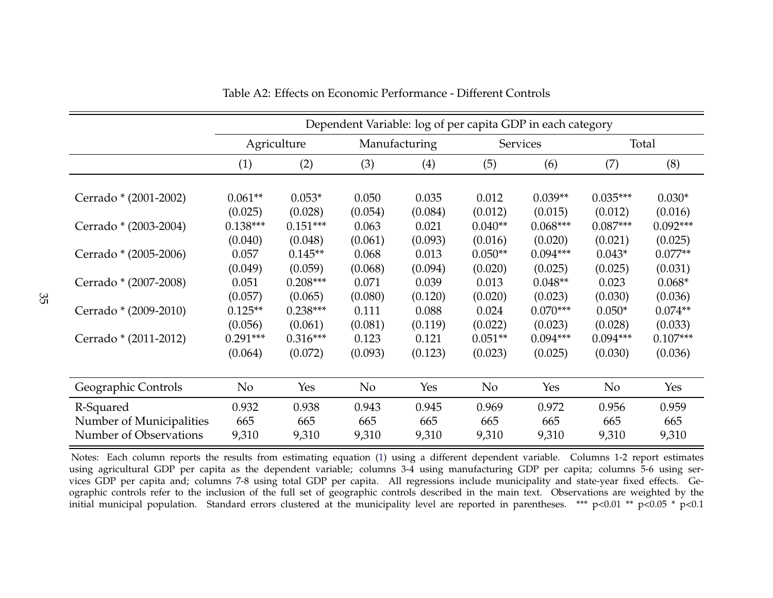|                          | Dependent Variable: log of per capita GDP in each category |             |               |         |                 |            |                |            |
|--------------------------|------------------------------------------------------------|-------------|---------------|---------|-----------------|------------|----------------|------------|
|                          |                                                            | Agriculture | Manufacturing |         | <b>Services</b> |            | Total          |            |
|                          | (1)                                                        | (2)         | (3)           | (4)     | (5)             | (6)        | (7)            | (8)        |
|                          |                                                            |             |               |         |                 |            |                |            |
| Cerrado * (2001-2002)    | $0.061**$                                                  | $0.053*$    | 0.050         | 0.035   | 0.012           | $0.039**$  | $0.035***$     | $0.030*$   |
|                          | (0.025)                                                    | (0.028)     | (0.054)       | (0.084) | (0.012)         | (0.015)    | (0.012)        | (0.016)    |
| Cerrado * (2003-2004)    | $0.138***$                                                 | $0.151***$  | 0.063         | 0.021   | $0.040**$       | $0.068***$ | $0.087***$     | $0.092***$ |
|                          | (0.040)                                                    | (0.048)     | (0.061)       | (0.093) | (0.016)         | (0.020)    | (0.021)        | (0.025)    |
| Cerrado * (2005-2006)    | 0.057                                                      | $0.145**$   | 0.068         | 0.013   | $0.050**$       | $0.094***$ | $0.043*$       | $0.077**$  |
|                          | (0.049)                                                    | (0.059)     | (0.068)       | (0.094) | (0.020)         | (0.025)    | (0.025)        | (0.031)    |
| Cerrado * (2007-2008)    | 0.051                                                      | $0.208***$  | 0.071         | 0.039   | 0.013           | $0.048**$  | 0.023          | $0.068*$   |
|                          | (0.057)                                                    | (0.065)     | (0.080)       | (0.120) | (0.020)         | (0.023)    | (0.030)        | (0.036)    |
| Cerrado * (2009-2010)    | $0.125**$                                                  | $0.238***$  | 0.111         | 0.088   | 0.024           | $0.070***$ | $0.050*$       | $0.074**$  |
|                          | (0.056)                                                    | (0.061)     | (0.081)       | (0.119) | (0.022)         | (0.023)    | (0.028)        | (0.033)    |
| Cerrado * (2011-2012)    | $0.291***$                                                 | $0.316***$  | 0.123         | 0.121   | $0.051**$       | $0.094***$ | $0.094***$     | $0.107***$ |
|                          | (0.064)                                                    | (0.072)     | (0.093)       | (0.123) | (0.023)         | (0.025)    | (0.030)        | (0.036)    |
|                          |                                                            |             |               |         |                 |            |                |            |
| Geographic Controls      | No                                                         | Yes         | No            | Yes     | No              | Yes        | N <sub>o</sub> | Yes        |
| R-Squared                | 0.932                                                      | 0.938       | 0.943         | 0.945   | 0.969           | 0.972      | 0.956          | 0.959      |
| Number of Municipalities | 665                                                        | 665         | 665           | 665     | 665             | 665        | 665            | 665        |
| Number of Observations   | 9,310                                                      | 9,310       | 9,310         | 9,310   | 9,310           | 9,310      | 9,310          | 9,310      |

Table A2: Effects on Economic Performance - Different Controls

Notes: Each column reports the results from estimating equation (1) using <sup>a</sup> different dependent variable. Columns 1-2 repor<sup>t</sup> estimates using agricultural GDP per capita as the dependent variable; columns 3-4 using manufacturing GDP per capita; columns 5-6 using services GDP per capita and; columns 7-8 using total GDP per capita. All regressions include municipality and state-year fixed effects. Geographic controls refer to the inclusion of the full set of geographic controls described in the main text. Observations are weighted by theinitial municipal population. Standard errors clustered at the municipality level are reported in parentheses. \*\*\* p<0.01 \*\* p<0.05 \* p<0.1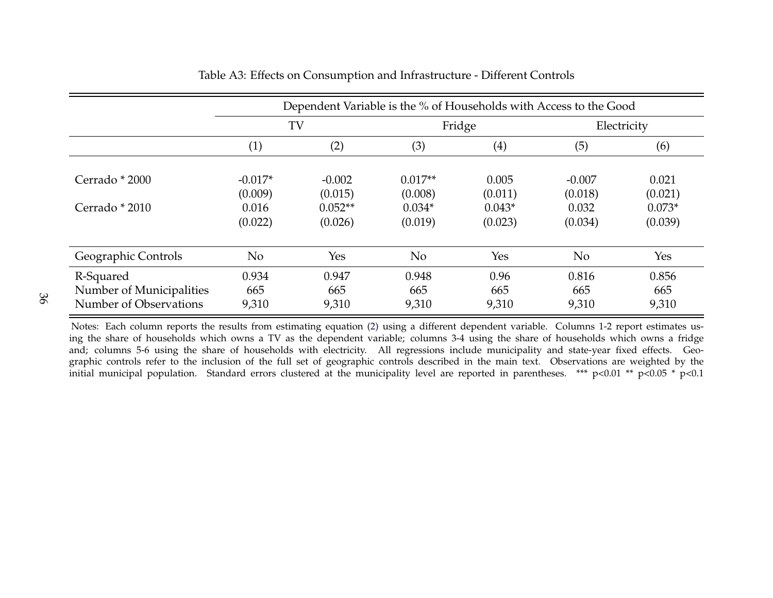|                                                                 | Dependent Variable is the % of Households with Access to the Good |                       |                       |                      |                       |                       |  |
|-----------------------------------------------------------------|-------------------------------------------------------------------|-----------------------|-----------------------|----------------------|-----------------------|-----------------------|--|
|                                                                 | TV                                                                |                       |                       | Fridge               | Electricity           |                       |  |
|                                                                 | (1)                                                               | (2)                   | (3)                   | (4)                  | (5)                   | (6)                   |  |
| Cerrado * 2000                                                  | $-0.017*$<br>(0.009)                                              | $-0.002$<br>(0.015)   | $0.017**$<br>(0.008)  | 0.005<br>(0.011)     | $-0.007$<br>(0.018)   | 0.021<br>(0.021)      |  |
| Cerrado * 2010                                                  | 0.016<br>(0.022)                                                  | $0.052**$<br>(0.026)  | $0.034*$<br>(0.019)   | $0.043*$<br>(0.023)  | 0.032<br>(0.034)      | $0.073*$<br>(0.039)   |  |
| Geographic Controls                                             | No                                                                | Yes                   | No                    | Yes                  | N <sub>o</sub>        | Yes                   |  |
| R-Squared<br>Number of Municipalities<br>Number of Observations | 0.934<br>665<br>9,310                                             | 0.947<br>665<br>9,310 | 0.948<br>665<br>9,310 | 0.96<br>665<br>9,310 | 0.816<br>665<br>9,310 | 0.856<br>665<br>9,310 |  |

Table A3: Effects on Consumption and Infrastructure - Different Controls

Notes: Each column reports the results from estimating equation (2) using <sup>a</sup> different dependent variable. Columns 1-2 repor<sup>t</sup> estimates us ing the share of households which owns <sup>a</sup> TV as the dependent variable; columns 3-4 using the share of households which owns <sup>a</sup> fridge and; columns 5-6 using the share of households with electricity. All regressions include municipality and state-year fixed effects. Geographic controls refer to the inclusion of the full set of geographic controls described in the main text. Observations are weighted by theinitial municipal population. Standard errors clustered at the municipality level are reported in parentheses. \*\*\* p<0.01 \*\* p<0.05 \* p<0.1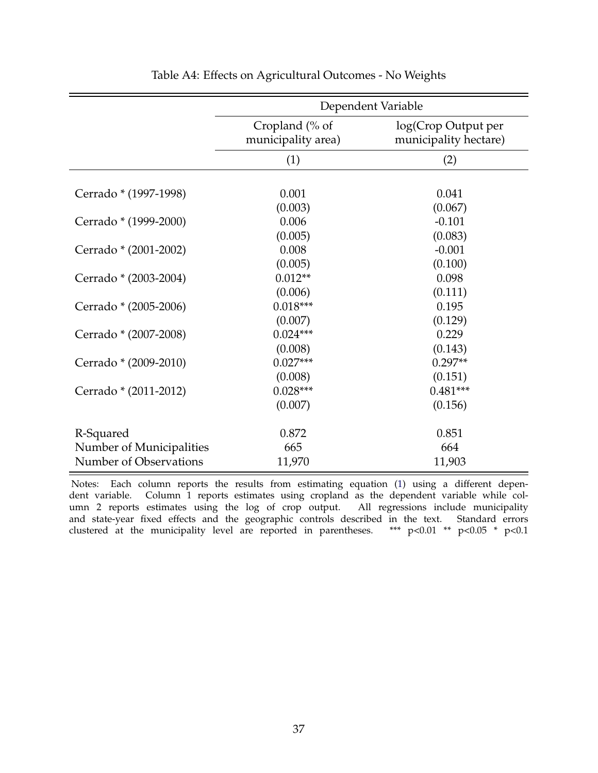|                          | Dependent Variable                   |                                              |  |  |  |  |  |
|--------------------------|--------------------------------------|----------------------------------------------|--|--|--|--|--|
|                          | Cropland (% of<br>municipality area) | log(Crop Output per<br>municipality hectare) |  |  |  |  |  |
|                          | (1)                                  | (2)                                          |  |  |  |  |  |
|                          |                                      |                                              |  |  |  |  |  |
| Cerrado * (1997-1998)    | 0.001                                | 0.041                                        |  |  |  |  |  |
|                          | (0.003)                              | (0.067)                                      |  |  |  |  |  |
| Cerrado * (1999-2000)    | 0.006                                | $-0.101$                                     |  |  |  |  |  |
|                          | (0.005)                              | (0.083)                                      |  |  |  |  |  |
| Cerrado * (2001-2002)    | 0.008                                | $-0.001$                                     |  |  |  |  |  |
|                          | (0.005)                              | (0.100)                                      |  |  |  |  |  |
| Cerrado * (2003-2004)    | $0.012**$                            | 0.098                                        |  |  |  |  |  |
|                          | (0.006)                              | (0.111)                                      |  |  |  |  |  |
| Cerrado * (2005-2006)    | $0.018***$                           | 0.195                                        |  |  |  |  |  |
|                          | (0.007)                              | (0.129)                                      |  |  |  |  |  |
| Cerrado * (2007-2008)    | $0.024***$                           | 0.229                                        |  |  |  |  |  |
|                          | (0.008)                              | (0.143)                                      |  |  |  |  |  |
| Cerrado * (2009-2010)    | $0.027***$                           | $0.297**$                                    |  |  |  |  |  |
|                          | (0.008)                              | (0.151)                                      |  |  |  |  |  |
| Cerrado * (2011-2012)    | $0.028***$                           | $0.481***$                                   |  |  |  |  |  |
|                          | (0.007)                              | (0.156)                                      |  |  |  |  |  |
| R-Squared                | 0.872                                | 0.851                                        |  |  |  |  |  |
| Number of Municipalities | 665                                  | 664                                          |  |  |  |  |  |
| Number of Observations   | 11,970                               | 11,903                                       |  |  |  |  |  |

### Table A4: Effects on Agricultural Outcomes - No Weights

Notes: Each column reports the results from estimating equation (1) using a different dependent variable. Column 1 reports estimates using cropland as the dependent variable while column 2 reports estimates using the log of crop output. All regressions include municipality and state-year fixed effects and the geographic controls described in the text. Standard errors clustered at the municipality level are reported in parentheses. \*\*\* p<0.01 \*\* p<0.05 \* p<0.1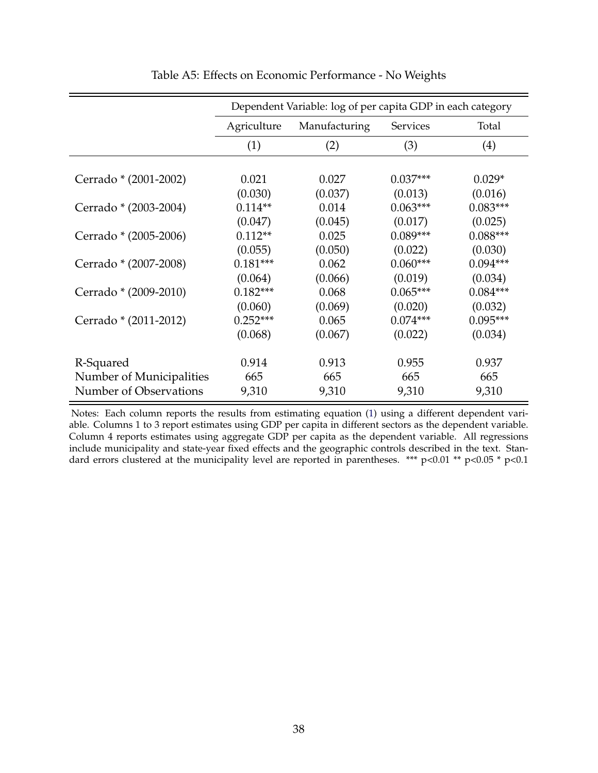|                          | Dependent Variable: log of per capita GDP in each category |               |                 |            |  |  |  |
|--------------------------|------------------------------------------------------------|---------------|-----------------|------------|--|--|--|
|                          | Agriculture                                                | Manufacturing | <b>Services</b> | Total      |  |  |  |
|                          | (1)                                                        | (2)           | (3)             | (4)        |  |  |  |
|                          |                                                            |               |                 |            |  |  |  |
| Cerrado * (2001-2002)    | 0.021                                                      | 0.027         | $0.037***$      | $0.029*$   |  |  |  |
|                          | (0.030)                                                    | (0.037)       | (0.013)         | (0.016)    |  |  |  |
| Cerrado * (2003-2004)    | $0.114**$                                                  | 0.014         | $0.063***$      | $0.083***$ |  |  |  |
|                          | (0.047)                                                    | (0.045)       | (0.017)         | (0.025)    |  |  |  |
| Cerrado * (2005-2006)    | $0.112**$                                                  | 0.025         | $0.089***$      | $0.088***$ |  |  |  |
|                          | (0.055)                                                    | (0.050)       | (0.022)         | (0.030)    |  |  |  |
| Cerrado * (2007-2008)    | $0.181***$                                                 | 0.062         | $0.060***$      | $0.094***$ |  |  |  |
|                          | (0.064)                                                    | (0.066)       | (0.019)         | (0.034)    |  |  |  |
| Cerrado * (2009-2010)    | $0.182***$                                                 | 0.068         | $0.065***$      | $0.084***$ |  |  |  |
|                          | (0.060)                                                    | (0.069)       | (0.020)         | (0.032)    |  |  |  |
| Cerrado * (2011-2012)    | $0.252***$                                                 | 0.065         | $0.074***$      | $0.095***$ |  |  |  |
|                          | (0.068)                                                    | (0.067)       | (0.022)         | (0.034)    |  |  |  |
|                          |                                                            |               |                 |            |  |  |  |
| R-Squared                | 0.914                                                      | 0.913         | 0.955           | 0.937      |  |  |  |
| Number of Municipalities | 665                                                        | 665           | 665             | 665        |  |  |  |
| Number of Observations   | 9,310                                                      | 9,310         | 9,310           | 9,310      |  |  |  |

Table A5: Effects on Economic Performance - No Weights

Notes: Each column reports the results from estimating equation (1) using a different dependent variable. Columns 1 to 3 report estimates using GDP per capita in different sectors as the dependent variable. Column 4 reports estimates using aggregate GDP per capita as the dependent variable. All regressions include municipality and state-year fixed effects and the geographic controls described in the text. Standard errors clustered at the municipality level are reported in parentheses. \*\*\* p<0.01 \*\* p<0.05 \* p<0.1